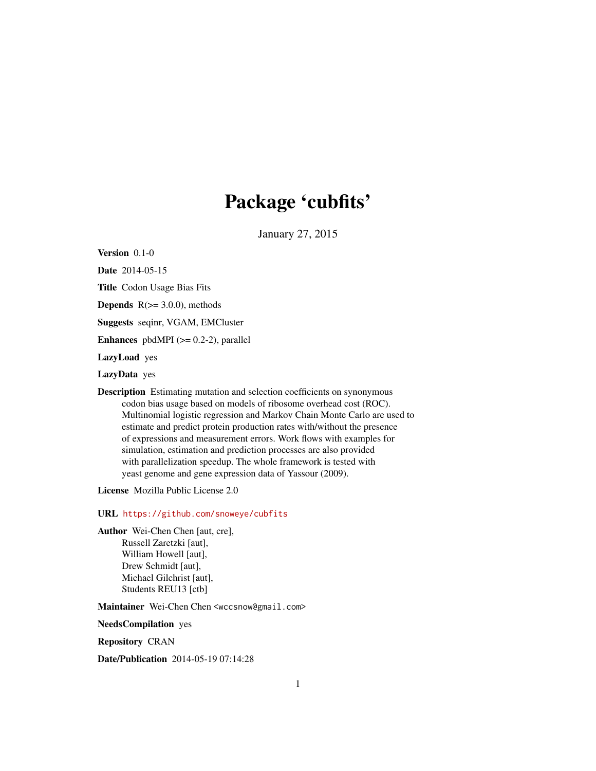# Package 'cubfits'

January 27, 2015

Version 0.1-0

Date 2014-05-15

Title Codon Usage Bias Fits

**Depends**  $R$ ( $> = 3.0.0$ ), methods

Suggests seqinr, VGAM, EMCluster

Enhances pbdMPI  $(>= 0.2-2)$ , parallel

LazyLoad yes

LazyData yes

Description Estimating mutation and selection coefficients on synonymous codon bias usage based on models of ribosome overhead cost (ROC). Multinomial logistic regression and Markov Chain Monte Carlo are used to estimate and predict protein production rates with/without the presence of expressions and measurement errors. Work flows with examples for simulation, estimation and prediction processes are also provided with parallelization speedup. The whole framework is tested with yeast genome and gene expression data of Yassour (2009).

License Mozilla Public License 2.0

URL <https://github.com/snoweye/cubfits>

Author Wei-Chen Chen [aut, cre], Russell Zaretzki [aut], William Howell [aut], Drew Schmidt [aut], Michael Gilchrist [aut], Students REU13 [ctb]

Maintainer Wei-Chen Chen <wccsnow@gmail.com>

NeedsCompilation yes

Repository CRAN

Date/Publication 2014-05-19 07:14:28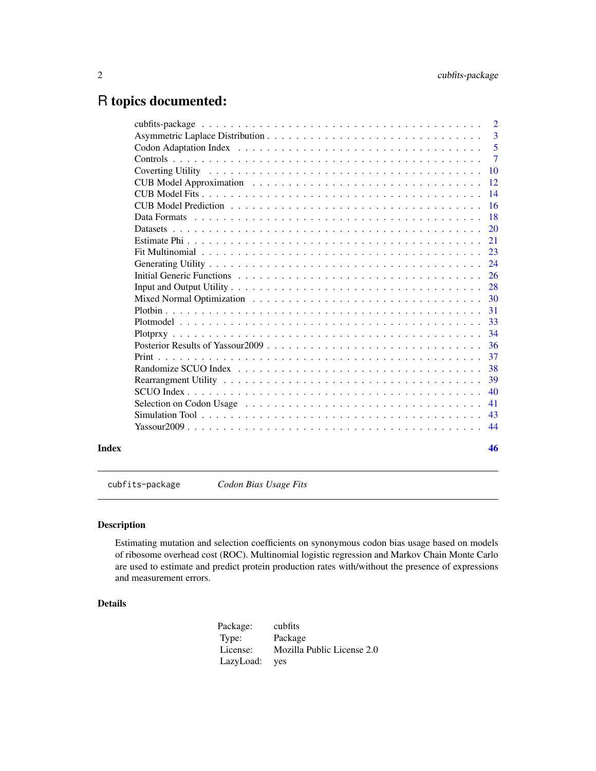# <span id="page-1-0"></span>R topics documented:

|       |                                                                                                                                 | 2              |
|-------|---------------------------------------------------------------------------------------------------------------------------------|----------------|
|       |                                                                                                                                 | 3              |
|       |                                                                                                                                 | -5             |
|       |                                                                                                                                 | $\overline{7}$ |
|       |                                                                                                                                 | 10             |
|       |                                                                                                                                 | 12             |
|       |                                                                                                                                 | 14             |
|       |                                                                                                                                 | 16             |
|       |                                                                                                                                 | 18             |
|       |                                                                                                                                 | 20             |
|       |                                                                                                                                 | 21             |
|       |                                                                                                                                 | 23             |
|       |                                                                                                                                 | 24             |
|       |                                                                                                                                 | 26             |
|       |                                                                                                                                 | 28             |
|       |                                                                                                                                 | 30             |
|       |                                                                                                                                 | 31             |
|       |                                                                                                                                 | 33             |
|       |                                                                                                                                 | 34             |
|       |                                                                                                                                 | 36             |
|       |                                                                                                                                 | 37             |
|       |                                                                                                                                 | 38             |
|       | Rearrangment Utility $\ldots \ldots \ldots \ldots \ldots \ldots \ldots \ldots \ldots \ldots \ldots \ldots \ldots$               | 39             |
|       |                                                                                                                                 | 40             |
|       | Selection on Codon Usage enterprise in the server in the selection on Codon Usage enterprise in the server in the server of $S$ | 41             |
|       |                                                                                                                                 | 43             |
|       |                                                                                                                                 | 44             |
| Index |                                                                                                                                 | 46             |

cubfits-package *Codon Bias Usage Fits*

#### Description

Estimating mutation and selection coefficients on synonymous codon bias usage based on models of ribosome overhead cost (ROC). Multinomial logistic regression and Markov Chain Monte Carlo are used to estimate and predict protein production rates with/without the presence of expressions and measurement errors.

#### Details

| Package:  | cubfits                    |
|-----------|----------------------------|
| Type:     | Package                    |
| License:  | Mozilla Public License 2.0 |
| LazyLoad: | ves                        |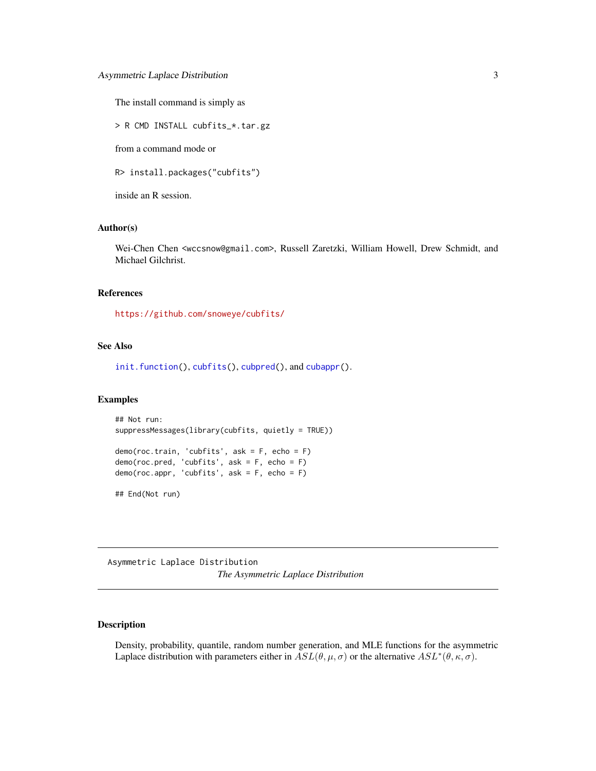<span id="page-2-0"></span>The install command is simply as

> R CMD INSTALL cubfits\_\*.tar.gz

from a command mode or

R> install.packages("cubfits")

inside an R session.

#### Author(s)

Wei-Chen Chen <wccsnow@gmail.com>, Russell Zaretzki, William Howell, Drew Schmidt, and Michael Gilchrist.

#### References

<https://github.com/snoweye/cubfits/>

#### See Also

[init.function\(](#page-25-1)), [cubfits\(](#page-13-1)), [cubpred\(](#page-15-1)), and [cubappr\(](#page-11-1)).

#### Examples

```
## Not run:
suppressMessages(library(cubfits, quietly = TRUE))
demo(roc.train, 'cubfits', ask = F, echo = F)
demo(roc.pred, 'cubfits', ask = F, echo = F)
demo(roc.appr, 'cubfits', ask = F, echo = F)
## End(Not run)
```
Asymmetric Laplace Distribution *The Asymmetric Laplace Distribution*

#### Description

Density, probability, quantile, random number generation, and MLE functions for the asymmetric Laplace distribution with parameters either in  $ASL(\theta, \mu, \sigma)$  or the alternative  $ASL^*(\theta, \kappa, \sigma)$ .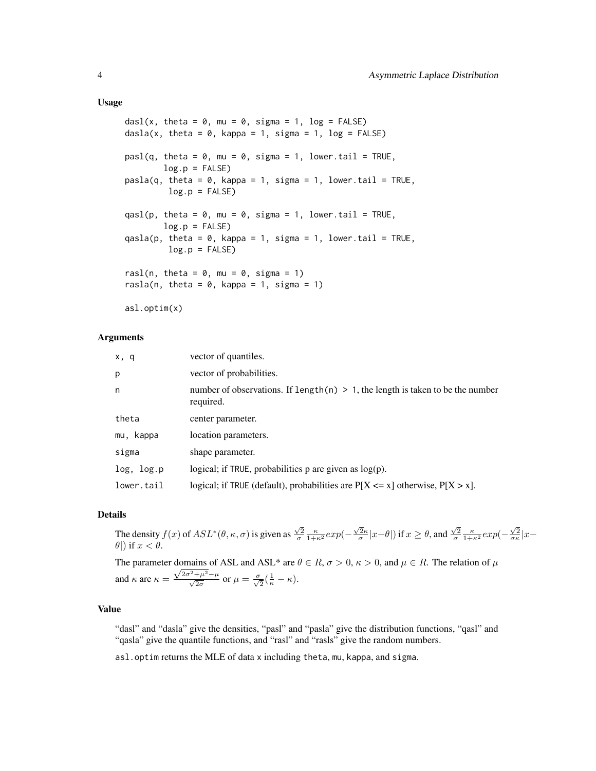#### Usage

```
dasl(x, theta = 0, mu = 0, sigma = 1, log = FALSE)
dasla(x, theta = 0, kappa = 1, sigma = 1, log = FALSE)
pasl(q, theta = 0, mu = 0, sigma = 1, lower.tail = TRUE,
        log.p = FALSEpasla(q, theta = 0, kappa = 1, sigma = 1, lower.tail = TRUE,
        log.p = FALSEqasl(p, theta = 0, mu = 0, sigma = 1, lower.tail = TRUE,
        log.p = FALSEqasla(p, theta = 0, kappa = 1, sigma = 1, lower.tail = TRUE,
        log.p = FALSErasl(n, theta = 0, mu = 0, sigma = 1)
rasla(n, theta = 0, kappa = 1, sigma = 1)
```
asl.optim(x)

#### Arguments

| x, q       | vector of quantiles.                                                                           |
|------------|------------------------------------------------------------------------------------------------|
| p          | vector of probabilities.                                                                       |
| n          | number of observations. If length(n) $> 1$ , the length is taken to be the number<br>required. |
| theta      | center parameter.                                                                              |
| mu, kappa  | location parameters.                                                                           |
| sigma      | shape parameter.                                                                               |
| log, log.p | logical; if TRUE, probabilities $p$ are given as $log(p)$ .                                    |
| lower.tail | logical; if TRUE (default), probabilities are $P[X \le x]$ otherwise, $P[X > x]$ .             |

#### Details

The density  $f(x)$  of  $ASL^*(\theta, \kappa, \sigma)$  is given as  $\frac{\sqrt{2}}{\sigma} \frac{\kappa}{1+\kappa^2} exp(-\frac{\sqrt{2}\kappa}{\sigma} |x-\theta|)$  if  $x \ge \theta$ , and  $\frac{\sqrt{2}}{\sigma} \frac{\kappa}{1+\kappa^2} exp(-\frac{\sqrt{2}}{\sigma \kappa} |x-\theta|)$  $\theta$ ) if  $x < \theta$ .

The parameter domains of ASL and ASL\* are  $\theta \in R$ ,  $\sigma > 0$ ,  $\kappa > 0$ , and  $\mu \in R$ . The relation of  $\mu$ and  $\kappa$  are  $\kappa = \frac{\sqrt{2\sigma^2 + \mu^2 - \mu}}{\sqrt{2\sigma}}$  or  $\mu = \frac{\sigma}{\sqrt{2}}(\frac{1}{\kappa} - \kappa)$ .

#### Value

"dasl" and "dasla" give the densities, "pasl" and "pasla" give the distribution functions, "qasl" and "qasla" give the quantile functions, and "rasl" and "rasls" give the random numbers.

asl.optim returns the MLE of data x including theta, mu, kappa, and sigma.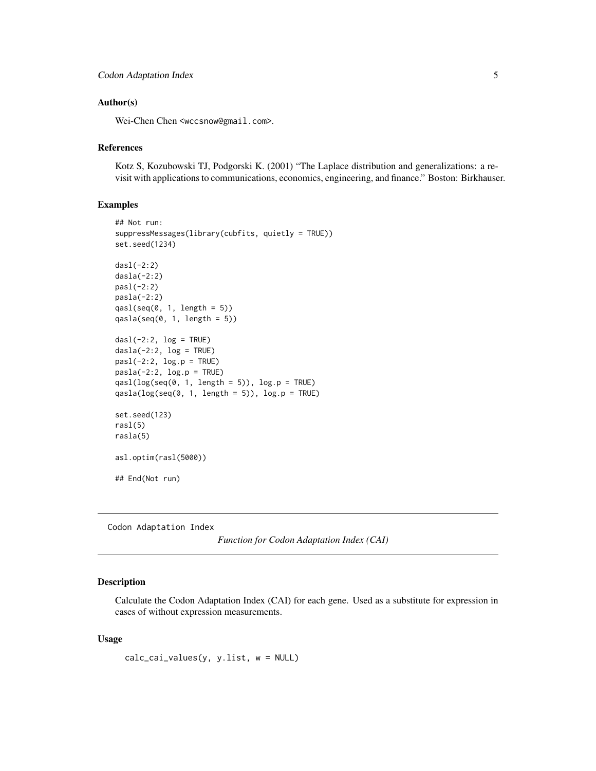#### <span id="page-4-0"></span>Author(s)

Wei-Chen Chen <wccsnow@gmail.com>.

#### References

Kotz S, Kozubowski TJ, Podgorski K. (2001) "The Laplace distribution and generalizations: a revisit with applications to communications, economics, engineering, and finance." Boston: Birkhauser.

#### Examples

```
## Not run:
suppressMessages(library(cubfits, quietly = TRUE))
set.seed(1234)
dasl(-2:2)
dasl(a(-2:2)pasl(-2:2)
pasla(-2:2)
qasl(seq(0, 1, length = 5))qasla(seq(0, 1, length = 5))dasi(-2:2, log = TRUE)dasl(a(-2:2, log = TRUE))ps1(-2:2, log.p = TRUE)pash(-2:2, log.p = TRUE)qasl(log(seq(0, 1, length = 5)), log.p = TRUE)
qasla(log(seq(0, 1, length = 5)), log.p = TRUE)
set.seed(123)
rasl(5)
rasla(5)
asl.optim(rasl(5000))
## End(Not run)
```
Codon Adaptation Index

*Function for Codon Adaptation Index (CAI)*

#### <span id="page-4-1"></span>Description

Calculate the Codon Adaptation Index (CAI) for each gene. Used as a substitute for expression in cases of without expression measurements.

#### Usage

```
calc_cai_values(y, y.list, w = NULL)
```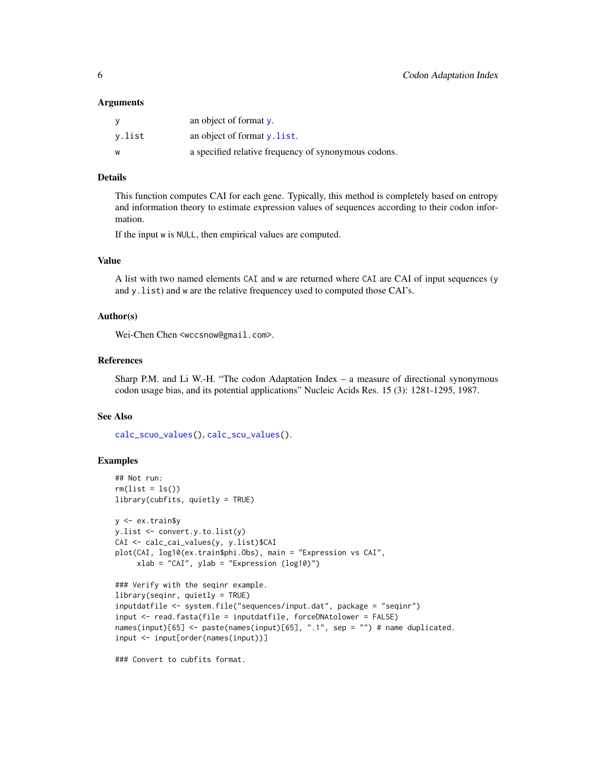#### <span id="page-5-0"></span>Arguments

| ۷      | an object of format $v$ .                            |
|--------|------------------------------------------------------|
| v.list | an object of format y. list.                         |
| W      | a specified relative frequency of synonymous codons. |

#### Details

This function computes CAI for each gene. Typically, this method is completely based on entropy and information theory to estimate expression values of sequences according to their codon information.

If the input w is NULL, then empirical values are computed.

#### Value

A list with two named elements CAI and w are returned where CAI are CAI of input sequences (y and y.list) and w are the relative frequencey used to computed those CAI's.

#### Author(s)

Wei-Chen Chen <wccsnow@gmail.com>.

#### References

Sharp P.M. and Li W.-H. "The codon Adaptation Index – a measure of directional synonymous codon usage bias, and its potential applications" Nucleic Acids Res. 15 (3): 1281-1295, 1987.

#### See Also

[calc\\_scuo\\_values\(](#page-39-1)), [calc\\_scu\\_values\(](#page-40-1)).

#### Examples

```
## Not run:
rm(list = ls())library(cubfits, quietly = TRUE)
y <- ex.train$y
y.list <- convert.y.to.list(y)
CAI <- calc_cai_values(y, y.list)$CAI
plot(CAI, log10(ex.train$phi.Obs), main = "Expression vs CAI",
     xlab = "CAI", ylab = "Expression (log10)")
### Verify with the seqinr example.
library(seqinr, quietly = TRUE)
inputdatfile <- system.file("sequences/input.dat", package = "seqinr")
input <- read.fasta(file = inputdatfile, forceDNAtolower = FALSE)
names(input)[65] <- paste(names(input)[65], ".1", sep = "") # name duplicated.
input <- input[order(names(input))]
```
### Convert to cubfits format.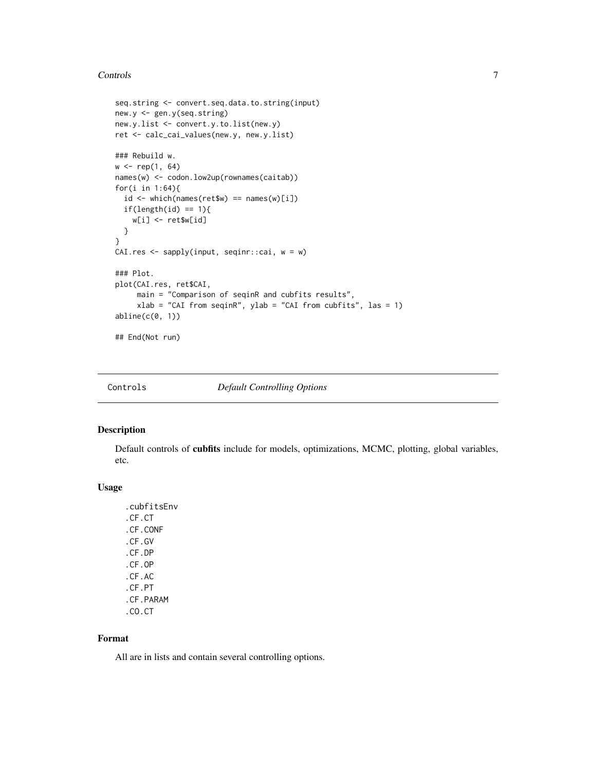#### <span id="page-6-0"></span>Controls 7

```
seq.string <- convert.seq.data.to.string(input)
new.y <- gen.y(seq.string)
new.y.list <- convert.y.to.list(new.y)
ret <- calc_cai_values(new.y, new.y.list)
### Rebuild w.
w \leq rep(1, 64)names(w) <- codon.low2up(rownames(caitab))
for(i in 1:64){
  id \leq which(names(ret$w) == names(w)[i])
  if(length(id) == 1){
    w[i] <- ret$w[id]
  }
}
CAI.res <- sapply(input, seqinr::cai, w = w)
### Plot.
plot(CAI.res, ret$CAI,
     main = "Comparison of seqinR and cubfits results",
     xlab = "CAI from seqinR", ylab = "CAI from cubfits", las = 1)
abline(c(0, 1))
## End(Not run)
```
Controls *Default Controlling Options*

#### <span id="page-6-1"></span>Description

Default controls of cubfits include for models, optimizations, MCMC, plotting, global variables, etc.

#### Usage

.cubfitsEnv .CF.CT .CF.CONF .CF.GV .CF.DP .CF.OP .CF.AC .CF.PT .CF.PARAM .CO.CT

#### Format

All are in lists and contain several controlling options.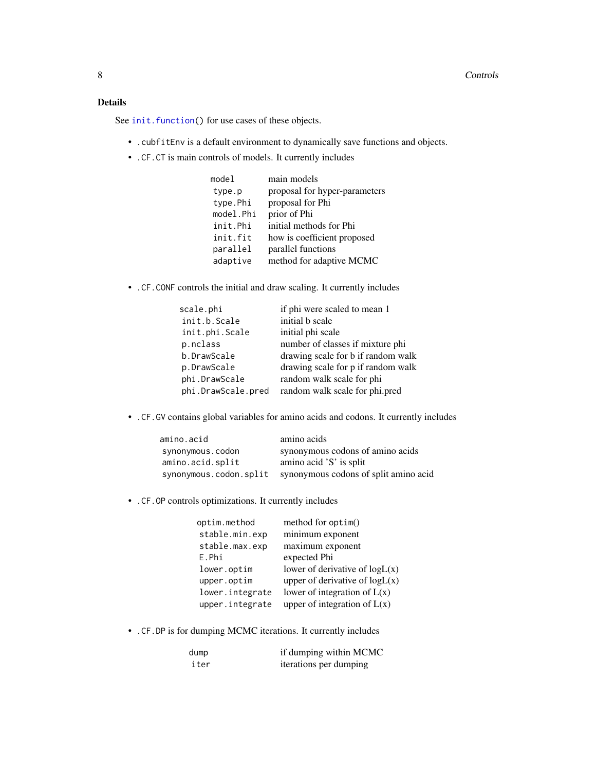#### <span id="page-7-0"></span>Details

See [init.function\(](#page-25-1)) for use cases of these objects.

- .cubfitEnv is a default environment to dynamically save functions and objects.
- .CF.CT is main controls of models. It currently includes

| model     | main models                   |
|-----------|-------------------------------|
| type.p    | proposal for hyper-parameters |
| type.Phi  | proposal for Phi              |
| model.Phi | prior of Phi                  |
| init.Phi  | initial methods for Phi       |
| init.fit  | how is coefficient proposed   |
| parallel  | parallel functions            |
| adaptive  | method for adaptive MCMC      |

• .CF.CONF controls the initial and draw scaling. It currently includes

| if phi were scaled to mean 1       |
|------------------------------------|
| initial b scale                    |
| initial phi scale                  |
| number of classes if mixture phi   |
| drawing scale for b if random walk |
| drawing scale for p if random walk |
| random walk scale for phi          |
| random walk scale for phi.pred     |
|                                    |

• .CF.GV contains global variables for amino acids and codons. It currently includes

| amino.acid             | amino acids                           |
|------------------------|---------------------------------------|
| synonymous.codon       | synonymous codons of amino acids      |
| amino.acid.split       | amino acid 'S' is split               |
| synonymous.codon.split | synonymous codons of split amino acid |

• .CF.OP controls optimizations. It currently includes

| optim.method    | method for $option()$            |
|-----------------|----------------------------------|
| stable.min.exp  | minimum exponent                 |
| stable.max.exp  | maximum exponent                 |
| E.Phi           | expected Phi                     |
| lower.optim     | lower of derivative of $logL(x)$ |
| upper.optim     | upper of derivative of $logL(x)$ |
| lower.integrate | lower of integration of $L(x)$   |
| upper.integrate | upper of integration of $L(x)$   |

• .CF.DP is for dumping MCMC iterations. It currently includes

| dump | if dumping within MCMC |
|------|------------------------|
| iter | iterations per dumping |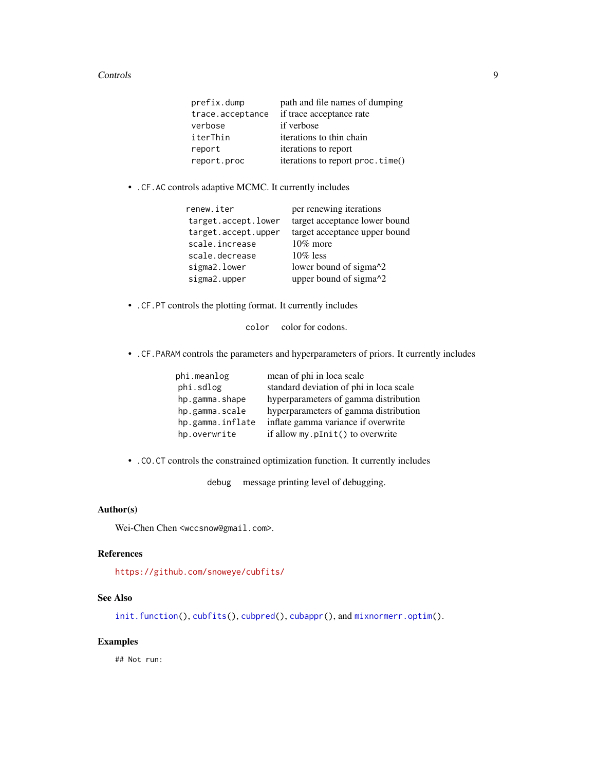#### <span id="page-8-0"></span>Controls 9

| prefix.dump      | path and file names of dumping   |
|------------------|----------------------------------|
| trace.acceptance | if trace acceptance rate         |
| verbose          | if verbose                       |
| iterThin         | iterations to thin chain         |
| report           | iterations to report             |
| report.proc      | iterations to report proc.time() |
|                  |                                  |

• .CF.AC controls adaptive MCMC. It currently includes

| renew.iter          | per renewing iterations             |
|---------------------|-------------------------------------|
| target.accept.lower | target acceptance lower bound       |
| target.accept.upper | target acceptance upper bound       |
| scale.increase      | $10\%$ more                         |
| scale.decrease      | $10\%$ less                         |
| sigma2.lower        | lower bound of sigma <sup>1</sup> 2 |
| sigma2.upper        | upper bound of sigma^2              |

• .CF.PT controls the plotting format. It currently includes

color color for codons.

• .CF.PARAM controls the parameters and hyperparameters of priors. It currently includes

| phi.meanlog      | mean of phi in loca scale               |
|------------------|-----------------------------------------|
| phi.sdlog        | standard deviation of phi in loca scale |
| hp.gamma.shape   | hyperparameters of gamma distribution   |
| hp.gamma.scale   | hyperparameters of gamma distribution   |
| hp.gamma.inflate | inflate gamma variance if overwrite     |
| hp.overwrite     | if allow my.pInit() to overwrite        |

• .CO.CT controls the constrained optimization function. It currently includes

debug message printing level of debugging.

#### Author(s)

Wei-Chen Chen <wccsnow@gmail.com>.

#### References

<https://github.com/snoweye/cubfits/>

#### See Also

[init.function\(](#page-25-1)), [cubfits\(](#page-13-1)), [cubpred\(](#page-15-1)), [cubappr\(](#page-11-1)), and [mixnormerr.optim\(](#page-29-1)).

#### Examples

## Not run: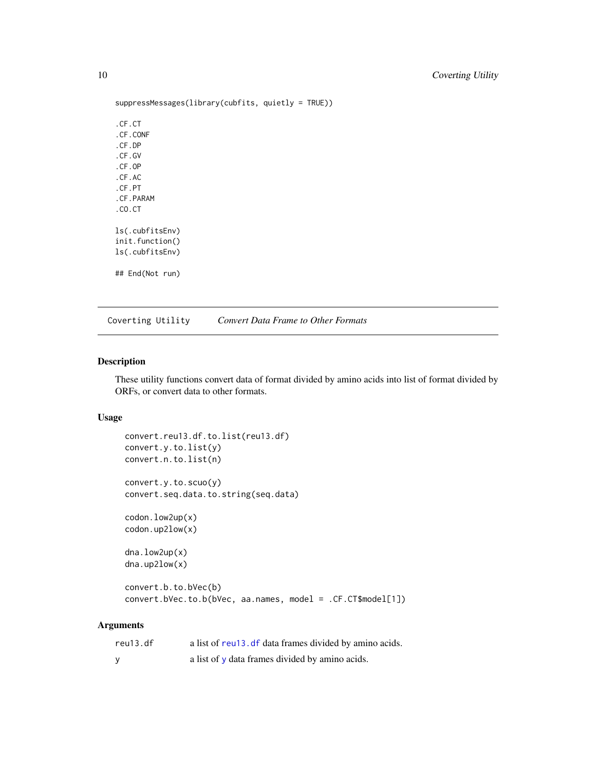```
suppressMessages(library(cubfits, quietly = TRUE))
.CF.CT
.CF.CONF
.CF.DP
.CF.GV
.CF.OP
.CF.AC
.CF.PT
.CF.PARAM
.CO.CT
ls(.cubfitsEnv)
init.function()
ls(.cubfitsEnv)
## End(Not run)
```
Coverting Utility *Convert Data Frame to Other Formats*

#### <span id="page-9-1"></span>Description

These utility functions convert data of format divided by amino acids into list of format divided by ORFs, or convert data to other formats.

#### Usage

```
convert.reu13.df.to.list(reu13.df)
convert.y.to.list(y)
convert.n.to.list(n)
convert.y.to.scuo(y)
convert.seq.data.to.string(seq.data)
codon.low2up(x)
codon.up2low(x)
dna.low2up(x)
dna.up2low(x)
convert.b.to.bVec(b)
```
### convert.bVec.to.b(bVec, aa.names, model = .CF.CT\$model[1])

#### Arguments

| reu13.df | a list of reu13. df data frames divided by amino acids. |
|----------|---------------------------------------------------------|
|          | a list of y data frames divided by amino acids.         |

<span id="page-9-0"></span>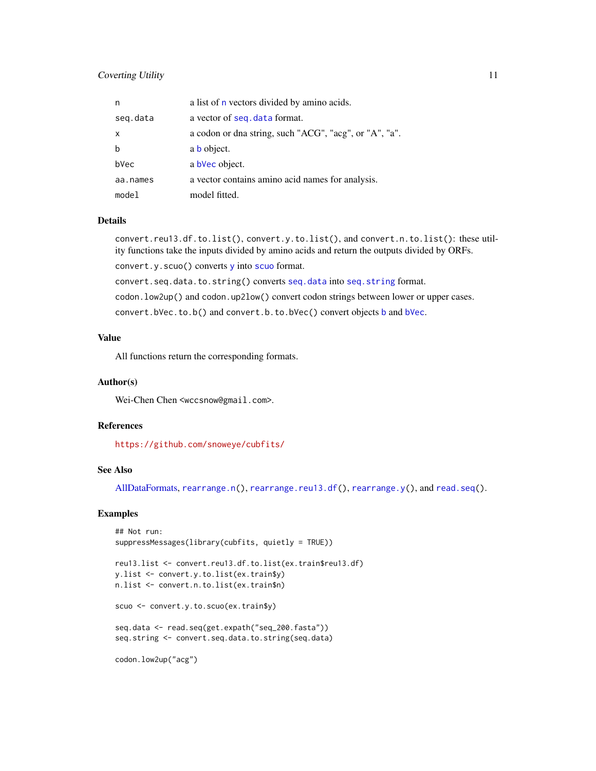#### <span id="page-10-0"></span>**Coverting Utility** 11

| n            | a list of n vectors divided by amino acids.            |
|--------------|--------------------------------------------------------|
| seq.data     | a vector of seq. data format.                          |
| $\mathsf{x}$ | a codon or dna string, such "ACG", "acg", or "A", "a". |
| b            | a <b>b</b> object.                                     |
| bVec         | a bVec object.                                         |
| aa.names     | a vector contains amino acid names for analysis.       |
| model        | model fitted.                                          |

#### Details

convert.reu13.df.to.list(), convert.y.to.list(), and convert.n.to.list(): these utility functions take the inputs divided by amino acids and return the outputs divided by ORFs. convert.y.scuo() converts [y](#page-17-1) into [scuo](#page-17-1) format.

convert.seq.data.to.string() converts [seq.data](#page-17-1) into [seq.string](#page-17-1) format.

codon.low2up() and codon.up2low() convert codon strings between lower or upper cases.

convert.bVec.to.b() and convert.b.to.bVec() convert objects [b](#page-17-1) and [bVec](#page-17-1).

#### Value

All functions return the corresponding formats.

#### Author(s)

Wei-Chen Chen <wccsnow@gmail.com>.

#### References

<https://github.com/snoweye/cubfits/>

#### See Also

[AllDataFormats,](#page-17-1) [rearrange.n\(](#page-38-1)), [rearrange.reu13.df\(](#page-38-1)), [rearrange.y\(](#page-38-1)), and [read.seq\(](#page-27-1)).

#### Examples

```
## Not run:
suppressMessages(library(cubfits, quietly = TRUE))
reu13.list <- convert.reu13.df.to.list(ex.train$reu13.df)
y.list <- convert.y.to.list(ex.train$y)
n.list <- convert.n.to.list(ex.train$n)
scuo <- convert.y.to.scuo(ex.train$y)
seq.data <- read.seq(get.expath("seq_200.fasta"))
seq.string <- convert.seq.data.to.string(seq.data)
codon.low2up("acg")
```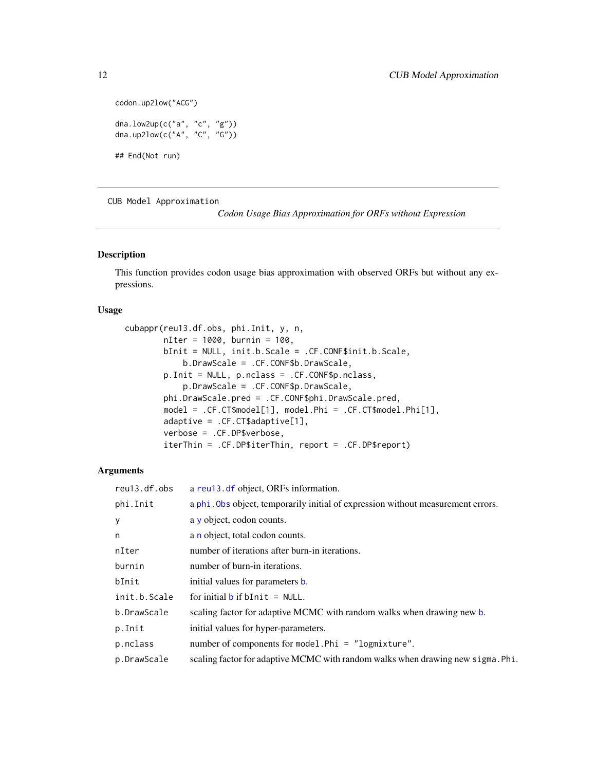```
codon.up2low("ACG")
dna.low2up(c("a", "c", "g"))
dna.up2low(c("A", "C", "G"))
```
## End(Not run)

CUB Model Approximation

*Codon Usage Bias Approximation for ORFs without Expression*

#### <span id="page-11-1"></span>Description

This function provides codon usage bias approximation with observed ORFs but without any expressions.

#### Usage

```
cubappr(reu13.df.obs, phi.Init, y, n,
       nIter = 1000, burnin = 100,
       bInit = NULL, init.b.Scale = .CF.CONF$init.b.Scale,
            b.DrawScale = .CF.CONF$b.DrawScale,
        p.Init = NULL, p.nclass = .CF.CONF$p.nclass,
            p.DrawScale = .CF.CONF$p.DrawScale,
        phi.DrawScale.pred = .CF.CONF$phi.DrawScale.pred,
       model = .CF.CT$model[1], model.Phi = .CF.CT$model.Phi[1],
        adaptive = .CF.CT$adaptive[1],
        verbose = .CF.DP$verbose,
        iterThin = .CF.DP$iterThin, report = .CF.DP$report)
```
#### Arguments

| reu13.df.obs | a reu13.df object, ORFs information.                                             |
|--------------|----------------------------------------------------------------------------------|
| phi.Init     | a phi. Obs object, temporarily initial of expression without measurement errors. |
| y            | a $\gamma$ object, codon counts.                                                 |
| n            | a n object, total codon counts.                                                  |
| nIter        | number of iterations after burn-in iterations.                                   |
| burnin       | number of burn-in iterations.                                                    |
| bInit        | initial values for parameters <b>b</b> .                                         |
| init.b.Scale | for initial $\mathbf b$ if $\mathbf b$ Init = NULL.                              |
| b.DrawScale  | scaling factor for adaptive MCMC with random walks when drawing new b.           |
| p.Init       | initial values for hyper-parameters.                                             |
| p.nclass     | number of components for model. Phi = $"logmixture"$ .                           |
| p.DrawScale  | scaling factor for adaptive MCMC with random walks when drawing new sigma. Phi.  |

<span id="page-11-0"></span>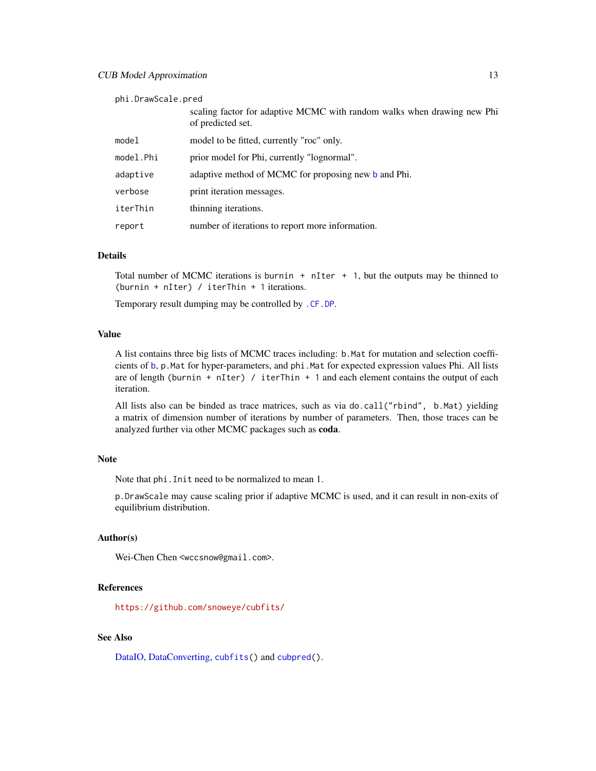<span id="page-12-0"></span>phi.DrawScale.pred

|           | scaling factor for adaptive MCMC with random walks when drawing new Phi<br>of predicted set. |
|-----------|----------------------------------------------------------------------------------------------|
| model     | model to be fitted, currently "roc" only.                                                    |
| model.Phi | prior model for Phi, currently "lognormal".                                                  |
| adaptive  | adaptive method of MCMC for proposing new b and Phi.                                         |
| verbose   | print iteration messages.                                                                    |
| iterThin  | thinning iterations.                                                                         |
| report    | number of iterations to report more information.                                             |

#### Details

Total number of MCMC iterations is burnin  $+$  nIter  $+$  1, but the outputs may be thinned to (burnin + nIter) / iterThin + 1 iterations.

Temporary result dumping may be controlled by [.CF.DP](#page-6-1).

#### Value

A list contains three big lists of MCMC traces including: b.Mat for mutation and selection coefficients of [b](#page-17-1), p.Mat for hyper-parameters, and phi.Mat for expected expression values Phi. All lists are of length (burnin + nIter) / iterThin + 1 and each element contains the output of each iteration.

All lists also can be binded as trace matrices, such as via do.call("rbind", b.Mat) yielding a matrix of dimension number of iterations by number of parameters. Then, those traces can be analyzed further via other MCMC packages such as coda.

#### Note

Note that phi.Init need to be normalized to mean 1.

p.DrawScale may cause scaling prior if adaptive MCMC is used, and it can result in non-exits of equilibrium distribution.

#### Author(s)

Wei-Chen Chen <wccsnow@gmail.com>.

#### References

<https://github.com/snoweye/cubfits/>

#### See Also

[DataIO,](#page-27-1) [DataConverting,](#page-9-1) [cubfits\(](#page-13-1)) and [cubpred\(](#page-15-1)).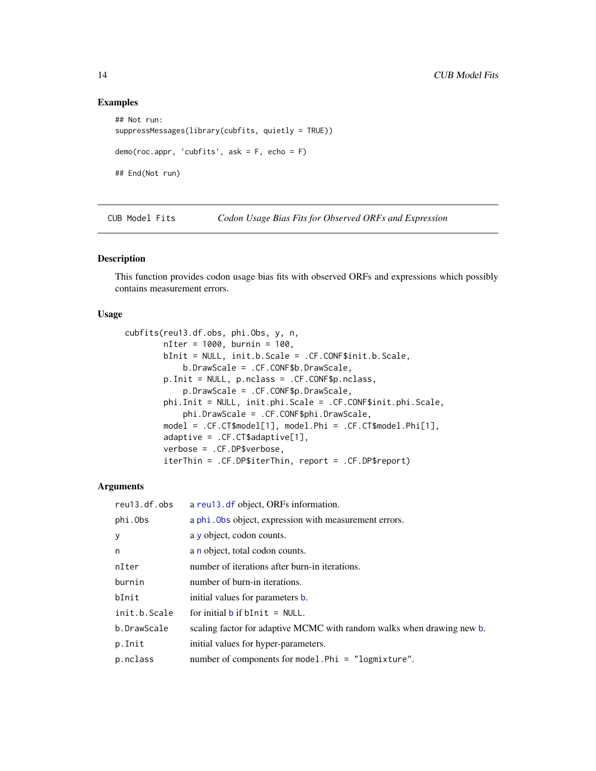#### Examples

```
## Not run:
suppressMessages(library(cubfits, quietly = TRUE))
demo(roc.appr, 'cubfits', ask = F, echo = F)
## End(Not run)
```
CUB Model Fits *Codon Usage Bias Fits for Observed ORFs and Expression*

#### <span id="page-13-1"></span>Description

This function provides codon usage bias fits with observed ORFs and expressions which possibly contains measurement errors.

#### Usage

```
cubfits(reu13.df.obs, phi.Obs, y, n,
        nIter = 1000, burnin = 100,
       bInit = NULL, init.b.Scale = .CF.CONF$init.b.Scale,
            b.DrawScale = .CF.CONF$b.DrawScale,
        p.Init = NULL, p.nclass = .CF.CONF$p.nclass,
            p.DrawScale = .CF.CONF$p.DrawScale,
        phi.Init = NULL, init.phi.Scale = .CF.CONF$init.phi.Scale,
            phi.DrawScale = .CF.CONF$phi.DrawScale,
        model = .CF.CT$model[1], model.Phi = .CF.CT$model.Phi[1],
        adaptive = .CF.CT$adaptive[1],
        verbose = .CF.DP$verbose,
        iterThin = .CF.DP$iterThin, report = .CF.DP$report)
```
#### **Arguments**

| reu13.df.obs | a reu13. df object, ORFs information.                                  |
|--------------|------------------------------------------------------------------------|
| phi.Obs      | a phi. Obs object, expression with measurement errors.                 |
| У            | a $\gamma$ object, codon counts.                                       |
| n            | a n object, total codon counts.                                        |
| nIter        | number of iterations after burn-in iterations.                         |
| burnin       | number of burn-in iterations.                                          |
| bInit        | initial values for parameters <b>b</b> .                               |
| init.b.Scale | for initial $\mathbf b$ if $\mathbf b$ Init = NULL.                    |
| b.DrawScale  | scaling factor for adaptive MCMC with random walks when drawing new b. |
| p.Init       | initial values for hyper-parameters.                                   |
| p.nclass     | number of components for model. Phi = $"logmixture"$ .                 |

<span id="page-13-0"></span>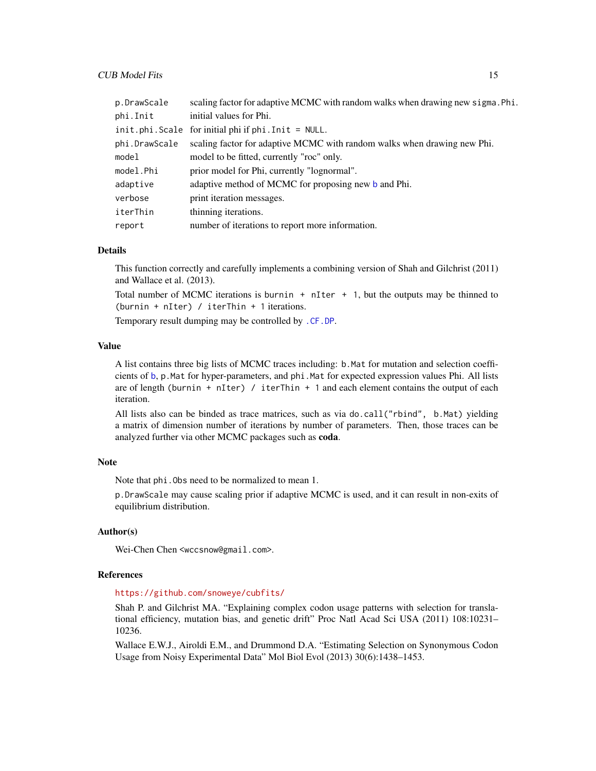<span id="page-14-0"></span>

| p.DrawScale   | scaling factor for adaptive MCMC with random walks when drawing new sigma. Phi. |
|---------------|---------------------------------------------------------------------------------|
| phi.Init      | initial values for Phi.                                                         |
|               | $init.phi.Scale$ for initial phi if $phi.Init = NULL$ .                         |
| phi.DrawScale | scaling factor for adaptive MCMC with random walks when drawing new Phi.        |
| model         | model to be fitted, currently "roc" only.                                       |
| model.Phi     | prior model for Phi, currently "lognormal".                                     |
| adaptive      | adaptive method of MCMC for proposing new b and Phi.                            |
| verbose       | print iteration messages.                                                       |
| iterThin      | thinning iterations.                                                            |
| report        | number of iterations to report more information.                                |

#### **Details**

This function correctly and carefully implements a combining version of Shah and Gilchrist (2011) and Wallace et al. (2013).

Total number of MCMC iterations is burnin  $+$  nIter  $+$  1, but the outputs may be thinned to (burnin + nIter) / iterThin + 1 iterations.

Temporary result dumping may be controlled by [.CF.DP](#page-6-1).

#### Value

A list contains three big lists of MCMC traces including: b.Mat for mutation and selection coefficients of [b](#page-17-1), p.Mat for hyper-parameters, and phi.Mat for expected expression values Phi. All lists are of length (burnin + nIter) / iterThin + 1 and each element contains the output of each iteration.

All lists also can be binded as trace matrices, such as via do.call("rbind", b.Mat) yielding a matrix of dimension number of iterations by number of parameters. Then, those traces can be analyzed further via other MCMC packages such as coda.

#### Note

Note that phi.Obs need to be normalized to mean 1.

p.DrawScale may cause scaling prior if adaptive MCMC is used, and it can result in non-exits of equilibrium distribution.

#### Author(s)

Wei-Chen Chen <wccsnow@gmail.com>.

#### References

#### <https://github.com/snoweye/cubfits/>

Shah P. and Gilchrist MA. "Explaining complex codon usage patterns with selection for translational efficiency, mutation bias, and genetic drift" Proc Natl Acad Sci USA (2011) 108:10231– 10236.

Wallace E.W.J., Airoldi E.M., and Drummond D.A. "Estimating Selection on Synonymous Codon Usage from Noisy Experimental Data" Mol Biol Evol (2013) 30(6):1438–1453.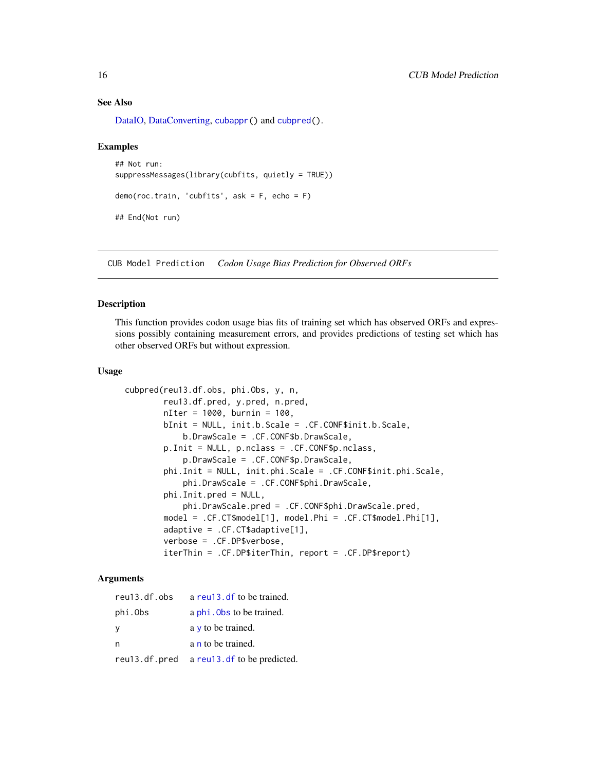#### See Also

[DataIO,](#page-27-1) [DataConverting,](#page-9-1) [cubappr\(](#page-11-1)) and [cubpred\(](#page-15-1)).

#### Examples

```
## Not run:
suppressMessages(library(cubfits, quietly = TRUE))
demo(roc.train, 'cubfits', ask = F, echo = F)
## End(Not run)
```
CUB Model Prediction *Codon Usage Bias Prediction for Observed ORFs*

#### <span id="page-15-1"></span>**Description**

This function provides codon usage bias fits of training set which has observed ORFs and expressions possibly containing measurement errors, and provides predictions of testing set which has other observed ORFs but without expression.

#### Usage

```
cubpred(reu13.df.obs, phi.Obs, y, n,
       reu13.df.pred, y.pred, n.pred,
       nIter = 1000, burnin = 100,
       bInit = NULL, init.b.Scale = .CF.CONF$init.b.Scale,
            b.DrawScale = .CF.CONF$b.DrawScale,
       p.Init = NULL, p.nclass = .CF.CONF$p.nclass,
           p.DrawScale = .CF.CONF$p.DrawScale,
       phi.Init = NULL, init.phi.Scale = .CF.CONF$init.phi.Scale,
           phi.DrawScale = .CF.CONF$phi.DrawScale,
       phi.Init.pred = NULL,
           phi.DrawScale.pred = .CF.CONF$phi.DrawScale.pred,
       model = .CF.CT$model[1], model.Phi = .CF.CT$model.Phi[1],
       adaptive = .CF.CT$adaptive[1],
       verbose = .CF.DP$verbose,
       iterThin = .CF.DP$iterThin, report = .CF.DP$report)
```
#### Arguments

| reu13.df.obs  | a reu13, df to be trained.   |
|---------------|------------------------------|
| phi.Obs       | a phi. Obs to be trained.    |
| - Y           | $a \vee b$ to be trained.    |
| n             | a n to be trained.           |
| reu13.df.pred | a reu13. df to be predicted. |

<span id="page-15-0"></span>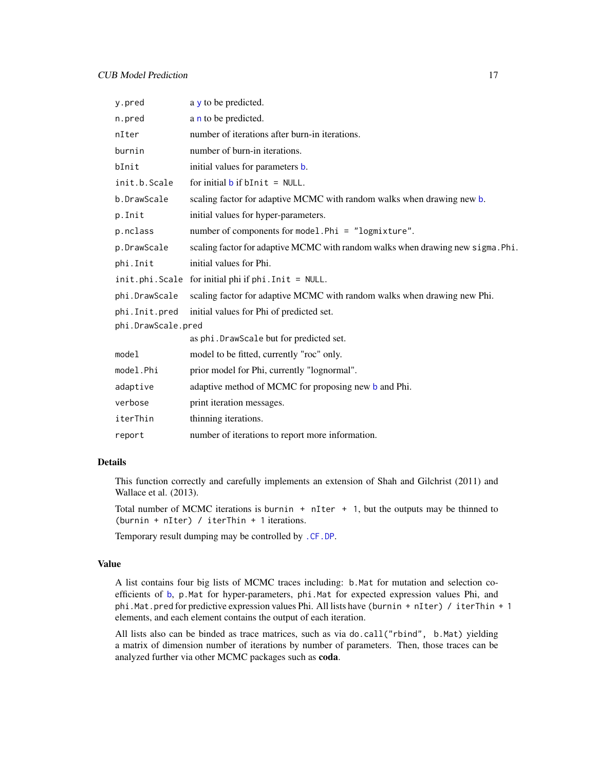<span id="page-16-0"></span>

| y.pred             | a y to be predicted.                                                            |  |
|--------------------|---------------------------------------------------------------------------------|--|
| n.pred             | a n to be predicted.                                                            |  |
| nIter              | number of iterations after burn-in iterations.                                  |  |
| burnin             | number of burn-in iterations.                                                   |  |
| bInit              | initial values for parameters <b>b</b> .                                        |  |
| init.b.Scale       | for initial $\mathbf b$ if $\mathbf b$ Init = NULL.                             |  |
| b.DrawScale        | scaling factor for adaptive MCMC with random walks when drawing new b.          |  |
| p.Init             | initial values for hyper-parameters.                                            |  |
| p.nclass           | number of components for model. Phi = "logmixture".                             |  |
| p.DrawScale        | scaling factor for adaptive MCMC with random walks when drawing new sigma. Phi. |  |
| phi.Init           | initial values for Phi.                                                         |  |
|                    | init.phi.Scale for initial phi if phi.Init = NULL.                              |  |
| phi.DrawScale      | scaling factor for adaptive MCMC with random walks when drawing new Phi.        |  |
| phi.Init.pred      | initial values for Phi of predicted set.                                        |  |
| phi.DrawScale.pred |                                                                                 |  |
|                    | as phi. DrawScale but for predicted set.                                        |  |
| model              | model to be fitted, currently "roc" only.                                       |  |
| model.Phi          | prior model for Phi, currently "lognormal".                                     |  |
| adaptive           | adaptive method of MCMC for proposing new b and Phi.                            |  |
| verbose            | print iteration messages.                                                       |  |
| iterThin           | thinning iterations.                                                            |  |
| report             | number of iterations to report more information.                                |  |

#### Details

This function correctly and carefully implements an extension of Shah and Gilchrist (2011) and Wallace et al. (2013).

Total number of MCMC iterations is burnin  $+$  nIter  $+$  1, but the outputs may be thinned to (burnin + nIter) / iterThin + 1 iterations.

Temporary result dumping may be controlled by [.CF.DP](#page-6-1).

#### Value

A list contains four big lists of MCMC traces including: b.Mat for mutation and selection coefficients of [b](#page-17-1), p.Mat for hyper-parameters, phi.Mat for expected expression values Phi, and phi.Mat.pred for predictive expression values Phi. All lists have (burnin + nIter) / iterThin + 1 elements, and each element contains the output of each iteration.

All lists also can be binded as trace matrices, such as via do.call("rbind", b.Mat) yielding a matrix of dimension number of iterations by number of parameters. Then, those traces can be analyzed further via other MCMC packages such as coda.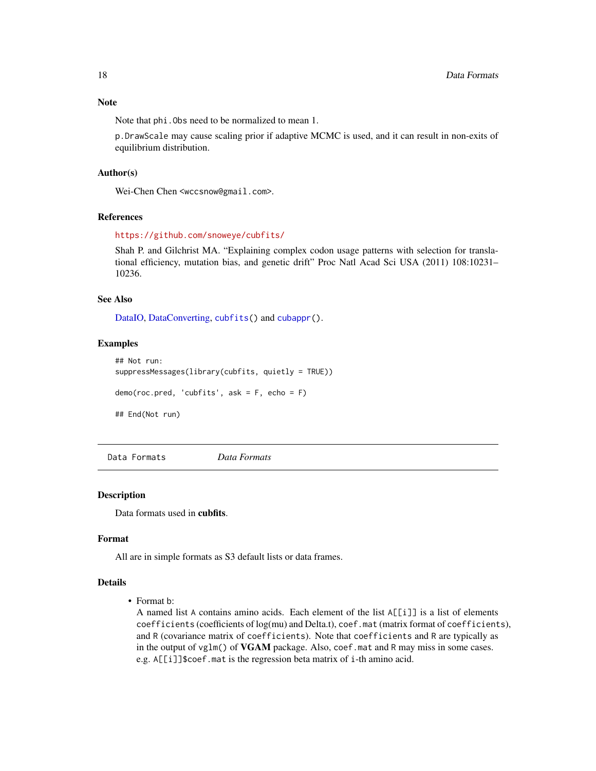#### <span id="page-17-0"></span>Note

Note that phi.Obs need to be normalized to mean 1.

p.DrawScale may cause scaling prior if adaptive MCMC is used, and it can result in non-exits of equilibrium distribution.

#### Author(s)

Wei-Chen Chen <wccsnow@gmail.com>.

#### References

<https://github.com/snoweye/cubfits/>

Shah P. and Gilchrist MA. "Explaining complex codon usage patterns with selection for translational efficiency, mutation bias, and genetic drift" Proc Natl Acad Sci USA (2011) 108:10231– 10236.

#### See Also

[DataIO,](#page-27-1) [DataConverting,](#page-9-1) [cubfits\(](#page-13-1)) and [cubappr\(](#page-11-1)).

#### Examples

```
## Not run:
suppressMessages(library(cubfits, quietly = TRUE))
demo(roc.pred, 'cubfits', ask = F, echo = F)
## End(Not run)
```
Data Formats *Data Formats*

#### <span id="page-17-1"></span>Description

Data formats used in cubfits.

#### Format

All are in simple formats as S3 default lists or data frames.

#### Details

• Format b:

A named list A contains amino acids. Each element of the list A[[i]] is a list of elements coefficients (coefficients of log(mu) and Delta.t), coef.mat (matrix format of coefficients), and R (covariance matrix of coefficients). Note that coefficients and R are typically as in the output of vglm() of **VGAM** package. Also, coef.mat and R may miss in some cases. e.g. A[[i]]\$coef.mat is the regression beta matrix of i-th amino acid.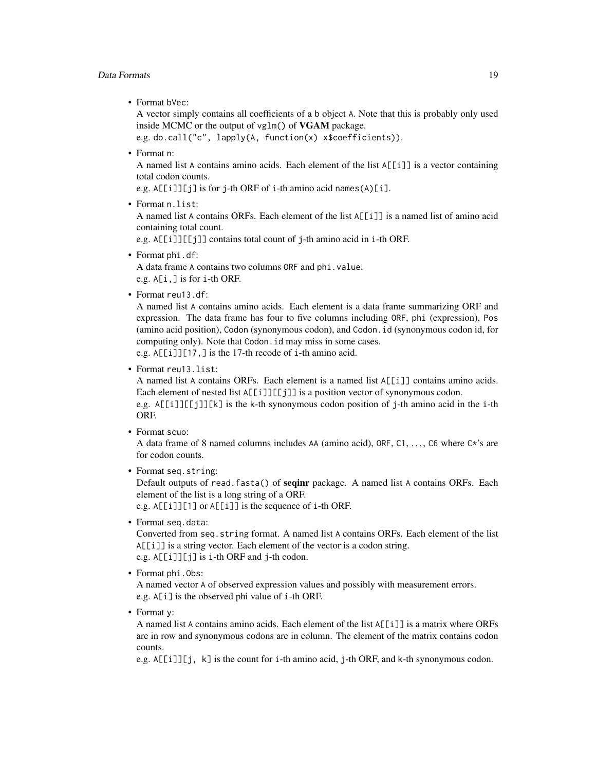#### Data Formats 19

• Format bVec:

A vector simply contains all coefficients of a b object A. Note that this is probably only used inside MCMC or the output of vglm() of VGAM package.

```
e.g. do.call("c", lapply(A, function(x) x$coefficients)).
```
• Format n:

A named list A contains amino acids. Each element of the list  $A[[i]]$  is a vector containing total codon counts.

e.g. A[[i]][j] is for j-th ORF of i-th amino acid names(A)[i].

• Format n.list:

A named list A contains ORFs. Each element of the list A[[i]] is a named list of amino acid containing total count.

e.g. A[[i]][[j]] contains total count of j-th amino acid in i-th ORF.

• Format phi.df:

A data frame A contains two columns ORF and phi.value. e.g. A[i,] is for i-th ORF.

• Format reu13.df:

A named list A contains amino acids. Each element is a data frame summarizing ORF and expression. The data frame has four to five columns including ORF, phi (expression), Pos (amino acid position), Codon (synonymous codon), and Codon.id (synonymous codon id, for computing only). Note that Codon.id may miss in some cases.

e.g. A[[i]][17,] is the 17-th recode of i-th amino acid.

• Format reu13.list:

A named list A contains ORFs. Each element is a named list A[[i]] contains amino acids. Each element of nested list  $\Delta[\text{[i]}][[\text{j]}]$  is a position vector of synonymous codon.

e.g. A[[i]][[j]][k] is the k-th synonymous codon position of j-th amino acid in the i-th ORF.

• Format scuo:

A data frame of 8 named columns includes AA (amino acid), ORF, C1, . . . , C6 where C\*'s are for codon counts.

• Format seq.string:

Default outputs of read.fasta() of seqinr package. A named list A contains ORFs. Each element of the list is a long string of a ORF.

e.g. A[[i]][1] or A[[i]] is the sequence of i-th ORF.

• Format seq.data:

Converted from seq.string format. A named list A contains ORFs. Each element of the list A[[i]] is a string vector. Each element of the vector is a codon string. e.g. A[[i]][j] is i-th ORF and j-th codon.

• Format phi.Obs:

A named vector A of observed expression values and possibly with measurement errors. e.g. A[i] is the observed phi value of i-th ORF.

• Format v:

A named list A contains amino acids. Each element of the list A[[i]] is a matrix where ORFs are in row and synonymous codons are in column. The element of the matrix contains codon counts.

e.g. A[[i]][j, k] is the count for i-th amino acid, j-th ORF, and k-th synonymous codon.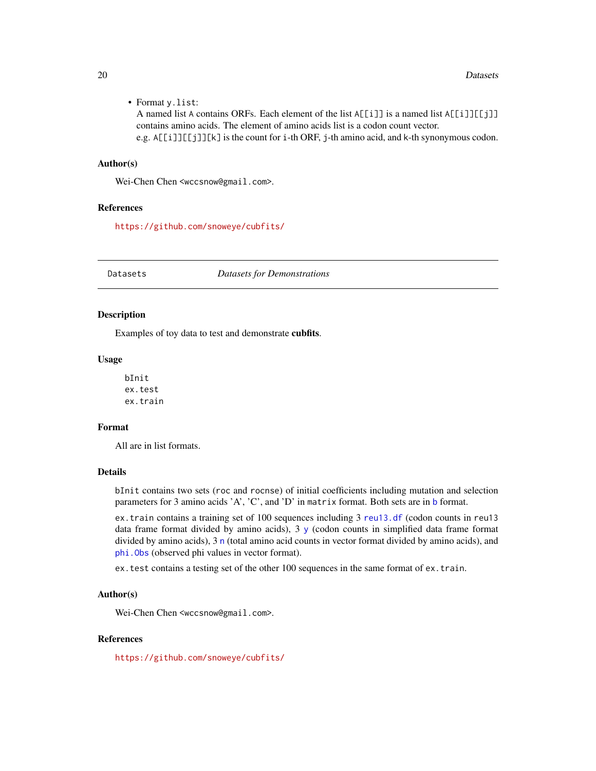<span id="page-19-0"></span>• Format y.list:

A named list A contains ORFs. Each element of the list  $A[[i]]$  is a named list  $A[[i]][[j]]$ contains amino acids. The element of amino acids list is a codon count vector. e.g. A[[i]][[j]][k] is the count for i-th ORF, j-th amino acid, and k-th synonymous codon.

#### Author(s)

Wei-Chen Chen <wccsnow@gmail.com>.

#### References

<https://github.com/snoweye/cubfits/>

Datasets *Datasets for Demonstrations*

#### Description

Examples of toy data to test and demonstrate cubfits.

#### Usage

bInit ex.test ex.train

#### Format

All are in list formats.

#### Details

bInit contains two sets (roc and rocnse) of initial coefficients including mutation and selection parameters for 3 amino acids 'A', 'C', and 'D' in matrix format. Both sets are in [b](#page-17-1) format.

ex.train contains a training set of 100 sequences including 3 [reu13.df](#page-17-1) (codon counts in reu13 data frame format divided by amino acids), 3 [y](#page-17-1) (codon counts in simplified data frame format divided by amino acids), 3 [n](#page-17-1) (total amino acid counts in vector format divided by amino acids), and [phi.Obs](#page-17-1) (observed phi values in vector format).

ex.test contains a testing set of the other 100 sequences in the same format of ex.train.

#### Author(s)

Wei-Chen Chen <wccsnow@gmail.com>.

#### References

<https://github.com/snoweye/cubfits/>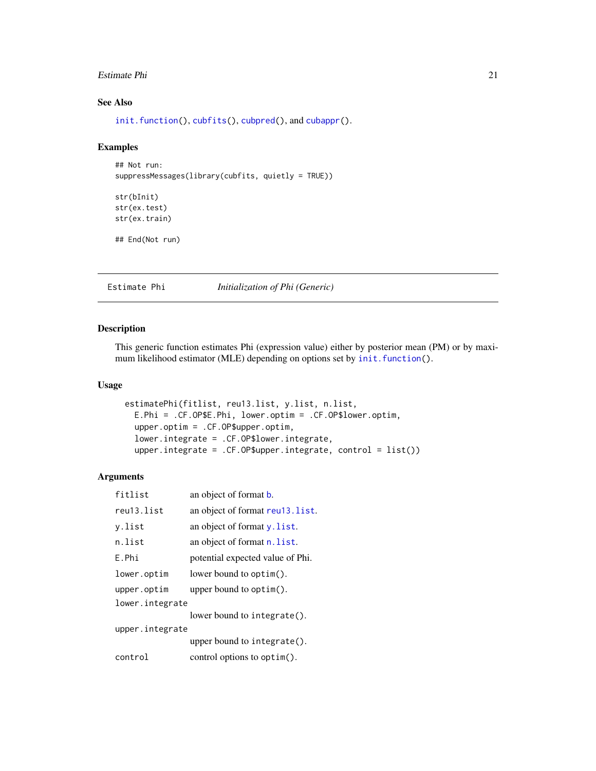#### <span id="page-20-0"></span>Estimate Phi 21

#### See Also

[init.function\(](#page-25-1)), [cubfits\(](#page-13-1)), [cubpred\(](#page-15-1)), and [cubappr\(](#page-11-1)).

#### Examples

```
## Not run:
suppressMessages(library(cubfits, quietly = TRUE))
str(bInit)
str(ex.test)
str(ex.train)
## End(Not run)
```
#### Estimate Phi *Initialization of Phi (Generic)*

#### <span id="page-20-1"></span>Description

This generic function estimates Phi (expression value) either by posterior mean (PM) or by maximum likelihood estimator (MLE) depending on options set by [init.function\(](#page-25-1)).

#### Usage

```
estimatePhi(fitlist, reu13.list, y.list, n.list,
 E.Phi = .CF.OP$E.Phi, lower.optim = .CF.OP$lower.optim,
 upper.optim = .CF.OP$upper.optim,
 lower.integrate = .CF.OP$lower.integrate,
 upper.integrate = .CF.OP$upper.integrate, control = list())
```
#### Arguments

| fitlist         | an object of format b.           |  |
|-----------------|----------------------------------|--|
| reu13.list      | an object of format reuld. list. |  |
| v.list          | an object of format y. list.     |  |
| n.list          | an object of format n. list.     |  |
| F.Phi           | potential expected value of Phi. |  |
| lower.optim     | lower bound to optim().          |  |
| upper.optim     | upper bound to $option().$       |  |
| lower.integrate |                                  |  |
|                 | lower bound to integrate().      |  |
| upper.integrate |                                  |  |
|                 | upper bound to integrate().      |  |
| control         | control options to optim().      |  |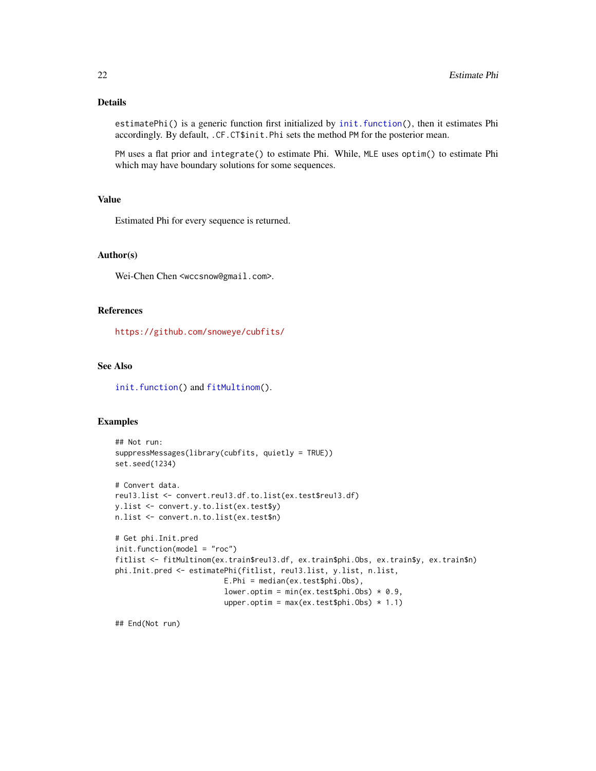#### <span id="page-21-0"></span>Details

estimatePhi() is a generic function first initialized by [init.function\(](#page-25-1)), then it estimates Phi accordingly. By default, .CF.CT\$init.Phi sets the method PM for the posterior mean.

PM uses a flat prior and integrate() to estimate Phi. While, MLE uses optim() to estimate Phi which may have boundary solutions for some sequences.

#### Value

Estimated Phi for every sequence is returned.

#### Author(s)

Wei-Chen Chen <wccsnow@gmail.com>.

#### References

<https://github.com/snoweye/cubfits/>

#### See Also

[init.function\(](#page-25-1)) and [fitMultinom\(](#page-22-1)).

#### Examples

```
## Not run:
suppressMessages(library(cubfits, quietly = TRUE))
set.seed(1234)
# Convert data.
reu13.list <- convert.reu13.df.to.list(ex.test$reu13.df)
y.list <- convert.y.to.list(ex.test$y)
n.list <- convert.n.to.list(ex.test$n)
# Get phi.Init.pred
init.function(model = "roc")
fitlist <- fitMultinom(ex.train$reu13.df, ex.train$phi.Obs, ex.train$y, ex.train$n)
phi.Init.pred <- estimatePhi(fitlist, reu13.list, y.list, n.list,
                         E.Phi = median(ex.test$phi.Obs),
                         lower.optim = min(ex.test$phi.Obs) * 0.9,
                         upper.optim = max(ex.test$phi.0bs) * 1.1)
```
## End(Not run)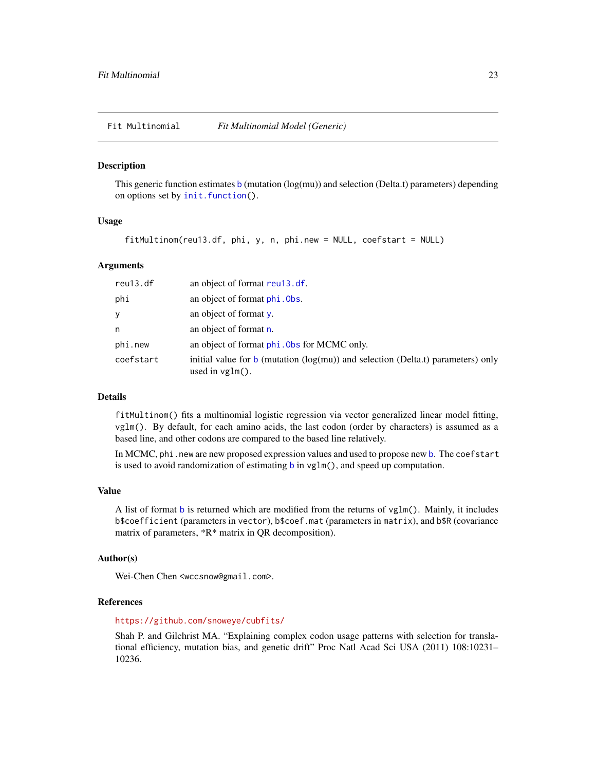<span id="page-22-0"></span>Fit Multinomial *Fit Multinomial Model (Generic)*

#### <span id="page-22-1"></span>Description

This generic function estimates [b](#page-17-1) (mutation  $(log(mu))$  and selection (Delta.t) parameters) depending on options set by [init.function\(](#page-25-1)).

#### Usage

fitMultinom(reu13.df, phi, y, n, phi.new = NULL, coefstart = NULL)

#### Arguments

| reu13.df  | an object of format reu13.df.                                                                                                  |
|-----------|--------------------------------------------------------------------------------------------------------------------------------|
| phi       | an object of format phi. Obs.                                                                                                  |
| y         | an object of format $v$ .                                                                                                      |
| n         | an object of format n.                                                                                                         |
| phi.new   | an object of format phi. Obs for MCMC only.                                                                                    |
| coefstart | initial value for $\mathbf b$ (mutation ( $\log(\mathbf{mu})$ ) and selection (Delta.t) parameters) only<br>used in $vglm()$ . |

#### Details

fitMultinom() fits a multinomial logistic regression via vector generalized linear model fitting, vglm(). By default, for each amino acids, the last codon (order by characters) is assumed as a based line, and other codons are compared to the based line relatively.

In MCMC, phi.new are new proposed expression values and used to propose new [b](#page-17-1). The coefstart is used to avoid randomization of estimating [b](#page-17-1) in vglm(), and speed up computation.

#### Value

A list of format [b](#page-17-1) is returned which are modified from the returns of vglm(). Mainly, it includes b\$coefficient (parameters in vector), b\$coef.mat (parameters in matrix), and b\$R (covariance matrix of parameters, \*R\* matrix in QR decomposition).

#### Author(s)

Wei-Chen Chen <wccsnow@gmail.com>.

#### References

#### <https://github.com/snoweye/cubfits/>

Shah P. and Gilchrist MA. "Explaining complex codon usage patterns with selection for translational efficiency, mutation bias, and genetic drift" Proc Natl Acad Sci USA (2011) 108:10231– 10236.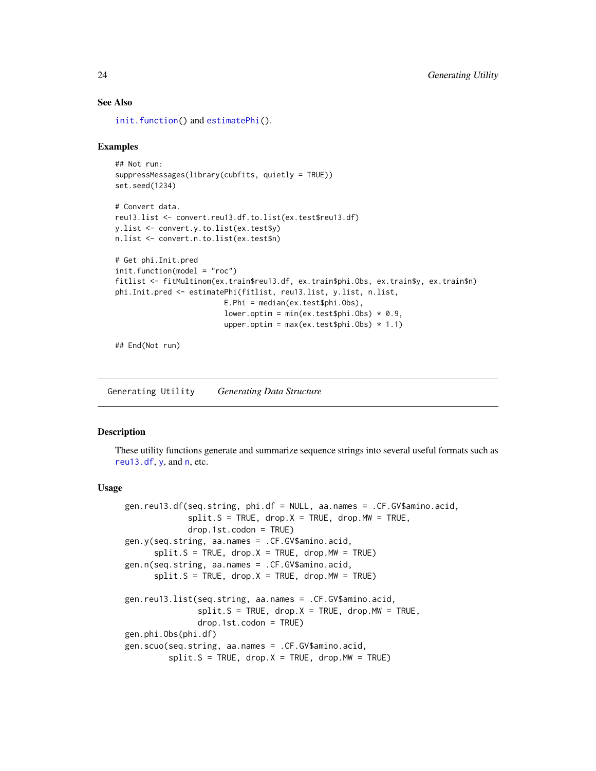#### See Also

[init.function\(](#page-25-1)) and [estimatePhi\(](#page-20-1)).

#### Examples

```
## Not run:
suppressMessages(library(cubfits, quietly = TRUE))
set.seed(1234)
# Convert data.
reu13.list <- convert.reu13.df.to.list(ex.test$reu13.df)
y.list <- convert.y.to.list(ex.test$y)
n.list <- convert.n.to.list(ex.test$n)
# Get phi.Init.pred
init.function(model = "roc")
fitlist <- fitMultinom(ex.train$reu13.df, ex.train$phi.Obs, ex.train$y, ex.train$n)
phi.Init.pred <- estimatePhi(fitlist, reu13.list, y.list, n.list,
                         E.Phi = median(ex.test$phi.Obs),
                         lower.optim = min(ex.test$phi.Obs) * 0.9,
                         upper.optim = max(ex.test$phi.0bs) * 1.1)
```
## End(Not run)

Generating Utility *Generating Data Structure*

#### Description

These utility functions generate and summarize sequence strings into several useful formats such as [reu13.df](#page-17-1),  $y$ , a[n](#page-17-1)d  $n$ , etc.

#### Usage

```
gen.reu13.df(seq.string, phi.df = NULL, aa.names = .CF.GV$amino.acid,
             split.S = TRUE, drop.X = TRUE, drop.MW = TRUE,drop.1st.codon = TRUE)
gen.y(seq.string, aa.names = .CF.GV$amino.acid,
      split.S = TRUE, drop.X = TRUE, drop.MW = TRUEgen.n(seq.string, aa.names = .CF.GV$amino.acid,
      split.S = TRUE, drop.X = TRUE, drop.MW = TRUE)gen.reu13.list(seq.string, aa.names = .CF.GV$amino.acid,
               split.S = TRUE, drop.X = TRUE, drop.MW = TRUE,drop.1st.codon = TRUE)
gen.phi.Obs(phi.df)
gen.scuo(seq.string, aa.names = .CF.GV$amino.acid,
         split.S = TRUE, drop.X = TRUE, drop.MW = TRUE)
```
<span id="page-23-0"></span>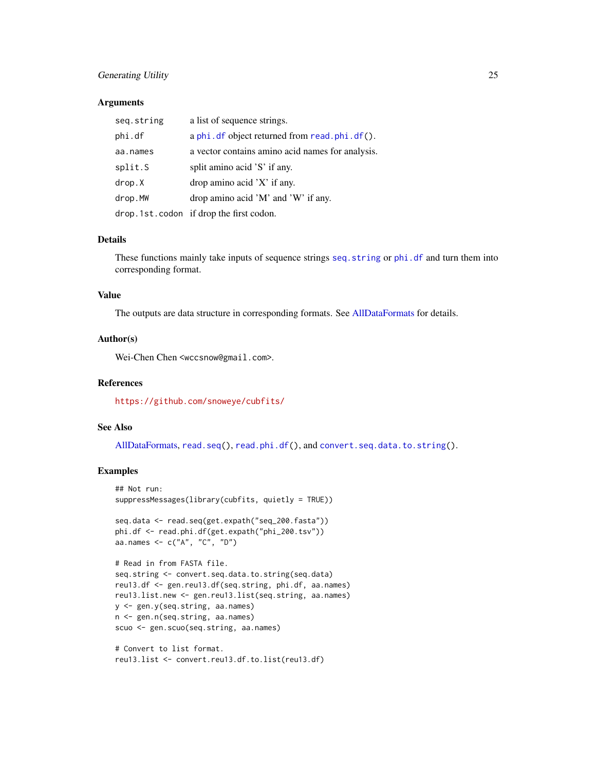#### <span id="page-24-0"></span>Generating Utility 25

#### **Arguments**

| seq.string | a list of sequence strings.                      |
|------------|--------------------------------------------------|
| phi.df     | a phi. df object returned from read. phi. df().  |
| aa.names   | a vector contains amino acid names for analysis. |
| split.S    | split amino acid 'S' if any.                     |
| drop.X     | $drop$ amino acid $'X'$ if any.                  |
| drop.MW    | drop amino acid 'M' and 'W' if any.              |
|            | drop.1st.codon if drop the first codon.          |

#### Details

These functions mainly take inputs of sequence strings [seq.string](#page-17-1) or [phi.df](#page-17-1) and turn them into corresponding format.

#### Value

The outputs are data structure in corresponding formats. See [AllDataFormats](#page-17-1) for details.

#### Author(s)

Wei-Chen Chen <wccsnow@gmail.com>.

#### References

<https://github.com/snoweye/cubfits/>

#### See Also

[AllDataFormats,](#page-17-1) [read.seq\(](#page-27-1)), [read.phi.df\(](#page-27-1)), and [convert.seq.data.to.string\(](#page-9-1)).

#### Examples

```
## Not run:
suppressMessages(library(cubfits, quietly = TRUE))
```

```
seq.data <- read.seq(get.expath("seq_200.fasta"))
phi.df <- read.phi.df(get.expath("phi_200.tsv"))
aa.names <- c("A", "C", "D")
```

```
# Read in from FASTA file.
seq.string <- convert.seq.data.to.string(seq.data)
reu13.df <- gen.reu13.df(seq.string, phi.df, aa.names)
reu13.list.new <- gen.reu13.list(seq.string, aa.names)
y <- gen.y(seq.string, aa.names)
n <- gen.n(seq.string, aa.names)
scuo <- gen.scuo(seq.string, aa.names)
```

```
# Convert to list format.
reu13.list <- convert.reu13.df.to.list(reu13.df)
```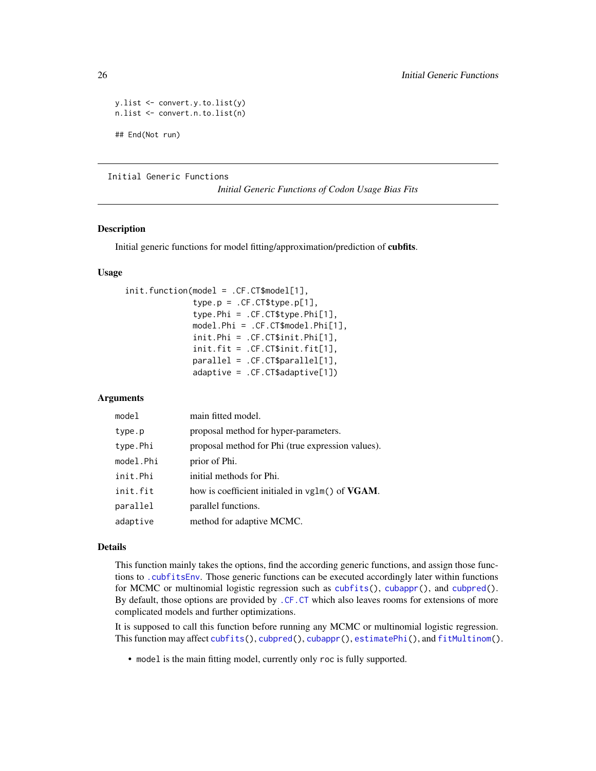```
y.list <- convert.y.to.list(y)
n.list <- convert.n.to.list(n)
## End(Not run)
```
Initial Generic Functions

*Initial Generic Functions of Codon Usage Bias Fits*

#### <span id="page-25-1"></span>Description

Initial generic functions for model fitting/approximation/prediction of cubfits.

#### Usage

```
init.function(model = .CF.CT$model[1],
              type.p = .CF.CT$type.p[1],
              type.Phi = .CF.CT$type.Phi[1],
              model.Phi = .CF.CT$model.Phi[1],
              init.Phi = .CF.CT$init.Phi[1],
              init.fit = .CF.CT$init.fit[1],
              parallel = .CF.CT$parallel[1],
              adaptive = .CF.CT$adaptive[1])
```
#### Arguments

| model     | main fitted model.                                      |
|-----------|---------------------------------------------------------|
| type.p    | proposal method for hyper-parameters.                   |
| type.Phi  | proposal method for Phi (true expression values).       |
| model.Phi | prior of Phi.                                           |
| init.Phi  | initial methods for Phi.                                |
| init.fit  | how is coefficient initialed in vglm() of <b>VGAM</b> . |
| parallel  | parallel functions.                                     |
| adaptive  | method for adaptive MCMC.                               |

#### Details

This function mainly takes the options, find the according generic functions, and assign those functions to [.cubfitsEnv](#page-6-1). Those generic functions can be executed accordingly later within functions for MCMC or multinomial logistic regression such as [cubfits\(](#page-13-1)), [cubappr\(](#page-11-1)), and [cubpred\(](#page-15-1)). By default, those options are provided by [.CF.CT](#page-6-1) which also leaves rooms for extensions of more complicated models and further optimizations.

It is supposed to call this function before running any MCMC or multinomial logistic regression. This function may affect [cubfits\(](#page-13-1)), [cubpred\(](#page-15-1)), [cubappr\(](#page-11-1)), [estimatePhi\(](#page-20-1)), and [fitMultinom\(](#page-22-1)).

• model is the main fitting model, currently only roc is fully supported.

<span id="page-25-0"></span>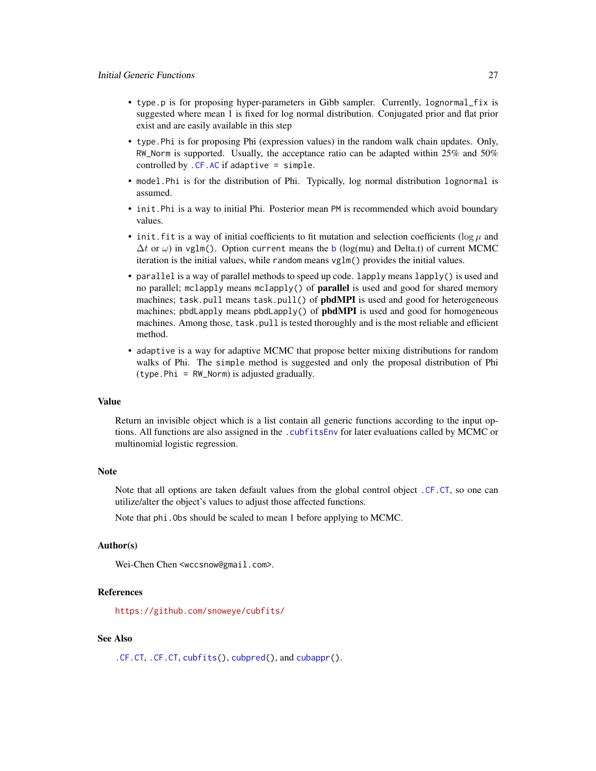- <span id="page-26-0"></span>• type.p is for proposing hyper-parameters in Gibb sampler. Currently, lognormal\_fix is suggested where mean 1 is fixed for log normal distribution. Conjugated prior and flat prior exist and are easily available in this step
- type.Phi is for proposing Phi (expression values) in the random walk chain updates. Only, RW\_Norm is supported. Usually, the acceptance ratio can be adapted within 25% and 50% controlled by [.CF.AC](#page-6-1) if adaptive = simple.
- model.Phi is for the distribution of Phi. Typically, log normal distribution lognormal is assumed.
- init.Phi is a way to initial Phi. Posterior mean PM is recommended which avoid boundary values.
- init. fit is a way of initial coefficients to fit mutation and selection coefficients ( $\log \mu$  and  $\Delta t$  or  $\omega$ ) in vglm(). Option current means the [b](#page-17-1) (log(mu) and Delta.t) of current MCMC iteration is the initial values, while random means vglm() provides the initial values.
- parallel is a way of parallel methods to speed up code. lapply means lapply() is used and no parallel; mclapply means mclapply() of parallel is used and good for shared memory machines; task.pull means task.pull() of pbdMPI is used and good for heterogeneous machines; pbdLapply means pbdLapply() of pbdMPI is used and good for homogeneous machines. Among those, task.pull is tested thoroughly and is the most reliable and efficient method.
- adaptive is a way for adaptive MCMC that propose better mixing distributions for random walks of Phi. The simple method is suggested and only the proposal distribution of Phi (type.Phi = RW\_Norm) is adjusted gradually.

#### Value

Return an invisible object which is a list contain all generic functions according to the input options. All functions are also assigned in the . cubfitsEnv for later evaluations called by MCMC or multinomial logistic regression.

#### Note

Note that all options are taken default values from the global control object [.CF.CT](#page-6-1), so one can utilize/alter the object's values to adjust those affected functions.

Note that phi.Obs should be scaled to mean 1 before applying to MCMC.

#### Author(s)

Wei-Chen Chen <wccsnow@gmail.com>.

#### **References**

<https://github.com/snoweye/cubfits/>

#### See Also

[.CF.CT](#page-6-1), [.CF.CT](#page-6-1), [cubfits\(](#page-13-1)), [cubpred\(](#page-15-1)), and [cubappr\(](#page-11-1)).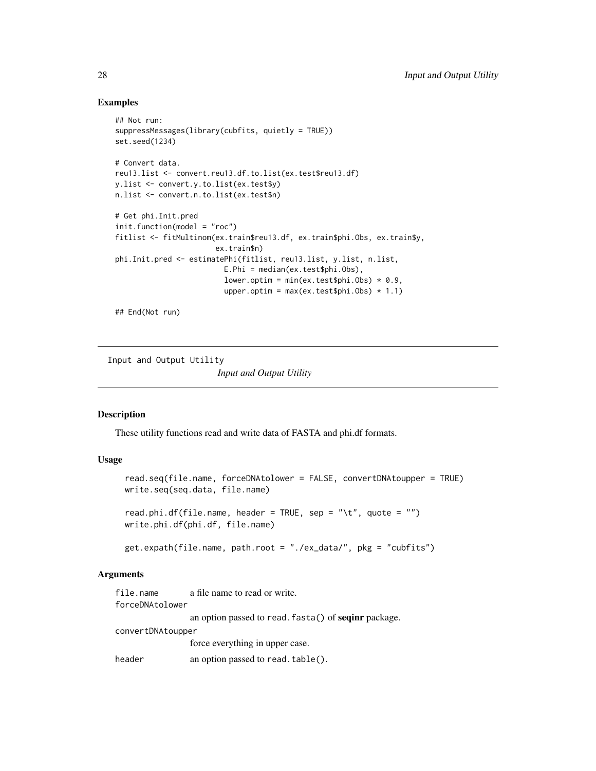#### Examples

```
## Not run:
suppressMessages(library(cubfits, quietly = TRUE))
set.seed(1234)
# Convert data.
reu13.list <- convert.reu13.df.to.list(ex.test$reu13.df)
y.list <- convert.y.to.list(ex.test$y)
n.list <- convert.n.to.list(ex.test$n)
# Get phi.Init.pred
init.function(model = "roc")
fitlist <- fitMultinom(ex.train$reu13.df, ex.train$phi.Obs, ex.train$y,
                       ex.train$n)
phi.Init.pred <- estimatePhi(fitlist, reu13.list, y.list, n.list,
                         E.Phi = median(ex.test$phi.Obs),
                         lower.optim = min(ex.test$phi.Obs) * 0.9,
                         upper.optim = max(ex.test$phi.0bs) * 1.1)
```
## End(Not run)

Input and Output Utility

*Input and Output Utility*

#### <span id="page-27-1"></span>Description

These utility functions read and write data of FASTA and phi.df formats.

#### Usage

```
read.seq(file.name, forceDNAtolower = FALSE, convertDNAtoupper = TRUE)
write.seq(seq.data, file.name)
read.phi.df(file.name, header = TRUE, sep = "\t", quote = "")
write.phi.df(phi.df, file.name)
```
get.expath(file.name, path.root = "./ex\_data/", pkg = "cubfits")

#### Arguments

```
file.name a file name to read or write.
forceDNAtolower
                an option passed to read.fasta() of seqinr package.
convertDNAtoupper
                force everything in upper case.
header an option passed to read.table().
```
<span id="page-27-0"></span>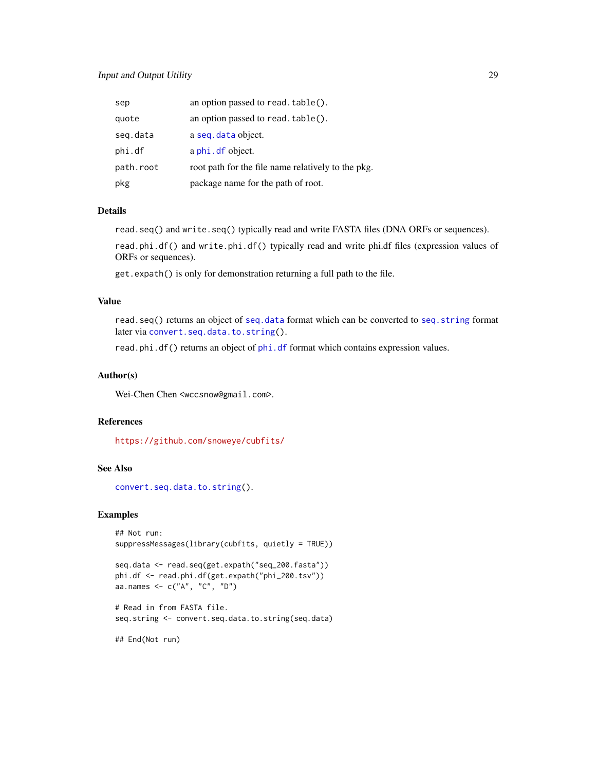<span id="page-28-0"></span>

| sep       | an option passed to read. table().                 |
|-----------|----------------------------------------------------|
| quote     | an option passed to read. table().                 |
| seg.data  | a seq. data object.                                |
| phi.df    | a phi. df object.                                  |
| path.root | root path for the file name relatively to the pkg. |
| pkg       | package name for the path of root.                 |

#### Details

read.seq() and write.seq() typically read and write FASTA files (DNA ORFs or sequences).

read.phi.df() and write.phi.df() typically read and write phi.df files (expression values of ORFs or sequences).

get.expath() is only for demonstration returning a full path to the file.

#### Value

read.seq() returns an object of [seq.data](#page-17-1) format which can be converted to [seq.string](#page-17-1) format later via [convert.seq.data.to.string\(](#page-9-1)).

read.[phi.df](#page-17-1)() returns an object of phi.df format which contains expression values.

#### Author(s)

Wei-Chen Chen <wccsnow@gmail.com>.

#### References

<https://github.com/snoweye/cubfits/>

#### See Also

[convert.seq.data.to.string\(](#page-9-1)).

#### Examples

```
## Not run:
suppressMessages(library(cubfits, quietly = TRUE))
```

```
seq.data <- read.seq(get.expath("seq_200.fasta"))
phi.df <- read.phi.df(get.expath("phi_200.tsv"))
aa.names <- c("A", "C", "D")
```
# Read in from FASTA file. seq.string <- convert.seq.data.to.string(seq.data)

## End(Not run)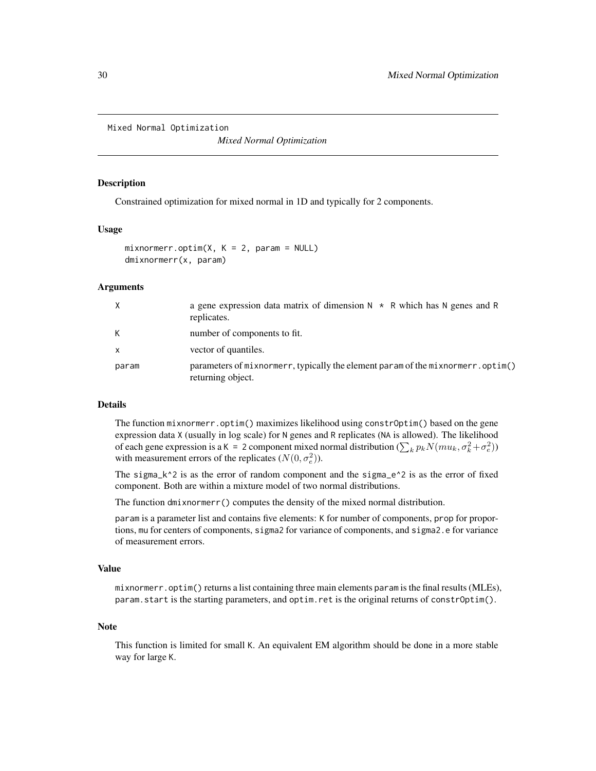<span id="page-29-0"></span>Mixed Normal Optimization

*Mixed Normal Optimization*

#### <span id="page-29-1"></span>**Description**

Constrained optimization for mixed normal in 1D and typically for 2 components.

#### Usage

```
mixnormerr.optim(X, K = 2, param = NULL)dmixnormerr(x, param)
```
#### **Arguments**

| X            | a gene expression data matrix of dimension $N \times R$ which has N genes and R<br>replicates.       |
|--------------|------------------------------------------------------------------------------------------------------|
| К            | number of components to fit.                                                                         |
| $\mathsf{x}$ | vector of quantiles.                                                                                 |
| param        | parameters of mixnormerr, typically the element param of the mixnormerr.optim()<br>returning object. |

#### Details

The function mixnormerr.optim() maximizes likelihood using constrOptim() based on the gene expression data X (usually in log scale) for N genes and R replicates (NA is allowed). The likelihood of each gene expression is a K = 2 component mixed normal distribution  $(\sum_k p_k N(m u_k, \sigma_k^2 + \sigma_e^2))$ with measurement errors of the replicates  $(N(0, \sigma_e^2))$ .

The sigma<sub>k</sub> $\sim$ 2 is as the error of random component and the sigma<sub>e</sub> $\sim$ 2 is as the error of fixed component. Both are within a mixture model of two normal distributions.

The function dmixnormerr() computes the density of the mixed normal distribution.

param is a parameter list and contains five elements: K for number of components, prop for proportions, mu for centers of components, sigma2 for variance of components, and sigma2.e for variance of measurement errors.

#### Value

mixnormerr.optim() returns a list containing three main elements param is the final results (MLEs), param.start is the starting parameters, and optim.ret is the original returns of constrOptim().

#### Note

This function is limited for small K. An equivalent EM algorithm should be done in a more stable way for large K.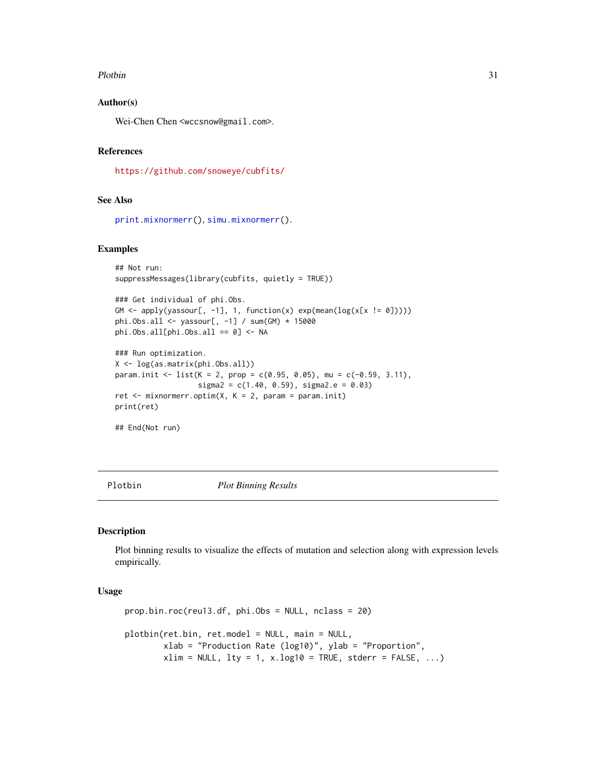#### <span id="page-30-0"></span>Plotbin 31

#### Author(s)

Wei-Chen Chen <wccsnow@gmail.com>.

#### References

<https://github.com/snoweye/cubfits/>

#### See Also

```
print.mixnormerr(), simu.mixnormerr().
```
#### Examples

```
## Not run:
suppressMessages(library(cubfits, quietly = TRUE))
```

```
### Get individual of phi.Obs.
GM \leq apply(yassour[, -1], 1, function(x) exp(mean(log(x[x != 0]))))
phi.Obs.all <- yassour[, -1] / sum(GM) * 15000
phi.Obs.all[phi.Obs.all == 0] <- NA
```

```
### Run optimization.
X <- log(as.matrix(phi.Obs.all))
param.init <- list(K = 2, prop = c(0.95, 0.05), mu = c(-0.59, 3.11),
                   sigma2 = c(1.40, 0.59), sigma2.e = 0.03)
ret \leq mixnormerr.optim(X, K = 2, param = param.init)
```

```
print(ret)
```
## End(Not run)

Plotbin *Plot Binning Results*

#### <span id="page-30-1"></span>Description

Plot binning results to visualize the effects of mutation and selection along with expression levels empirically.

#### Usage

```
prop.bin.roc(reu13.df, phi.Obs = NULL, nclass = 20)
plotbin(ret.bin, ret.model = NULL, main = NULL,
       xlab = "Production Rate (log10)", ylab = "Proportion",
        xlim = NULL, lty = 1, x.log10 = TRUE, stderr = FALSE, ...
```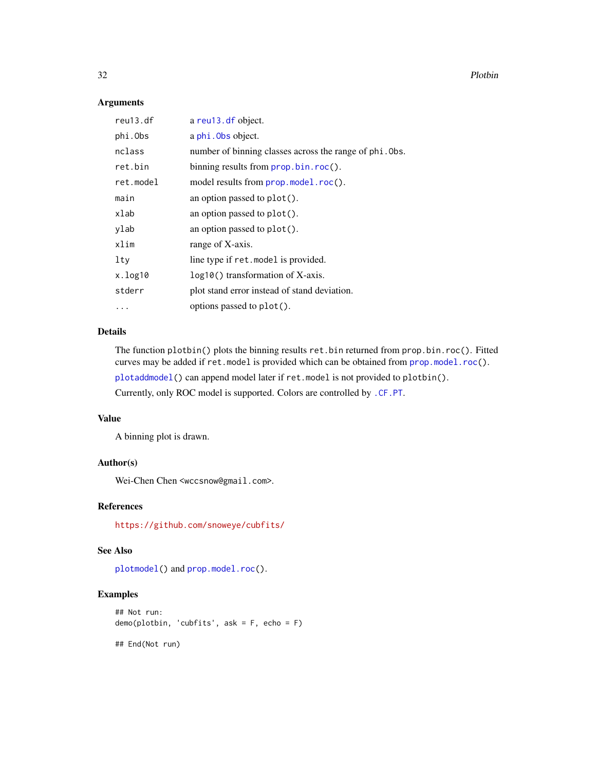32 Plotbin and the contract of the contract of the contract of the contract of the contract of the contract of the contract of the contract of the contract of the contract of the contract of the contract of the contract of

#### Arguments

| reu13.df  | a reu13. df object.                                     |
|-----------|---------------------------------------------------------|
| phi.Obs   | a phi. Obs object.                                      |
| nclass    | number of binning classes across the range of phi. Obs. |
| ret.bin   | binning results from prop.bin.roc().                    |
| ret.model | model results from prop.model.roc().                    |
| main      | an option passed to $plot()$ .                          |
| xlab      | an option passed to plot().                             |
| ylab      | an option passed to plot().                             |
| xlim      | range of X-axis.                                        |
| $1$ ty    | line type if ret. model is provided.                    |
| x.log10   | $log10()$ transformation of X-axis.                     |
| stderr    | plot stand error instead of stand deviation.            |
|           | options passed to plot().                               |
|           |                                                         |

#### Details

The function plotbin() plots the binning results ret.bin returned from prop.bin.roc(). Fitted curves may be added if ret.model is provided which can be obtained from [prop.model.roc\(](#page-32-1)).

[plotaddmodel\(](#page-32-1)) can append model later if ret.model is not provided to plotbin().

Currently, only ROC model is supported. Colors are controlled by [.CF.PT](#page-6-1).

#### Value

A binning plot is drawn.

#### Author(s)

Wei-Chen Chen <wccsnow@gmail.com>.

#### References

<https://github.com/snoweye/cubfits/>

#### See Also

[plotmodel\(](#page-32-1)) and [prop.model.roc\(](#page-32-1)).

#### Examples

```
## Not run:
demo(plotbin, 'cubfits', ask = F, echo = F)
```
## End(Not run)

<span id="page-31-0"></span>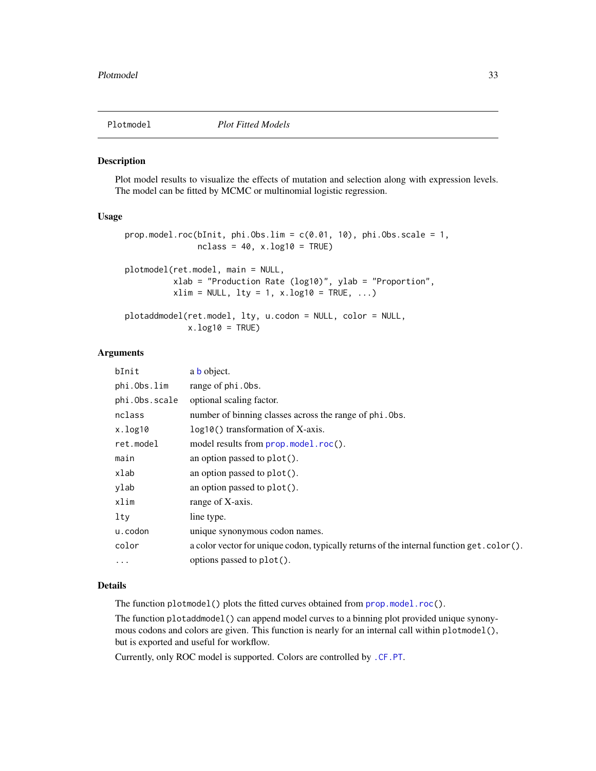<span id="page-32-0"></span>

#### <span id="page-32-1"></span>Description

Plot model results to visualize the effects of mutation and selection along with expression levels. The model can be fitted by MCMC or multinomial logistic regression.

#### Usage

```
prop.model.roc(bInit, phi.Obs.lim = c(0.01, 10), phi.Obs.scale = 1,
               nclass = 40, x.log10 = TRUE)
plotmodel(ret.model, main = NULL,
          xlab = "Production Rate (log10)", ylab = "Proportion",
          xlim = NULL, 1ty = 1, x.log10 = TRUE, ...)plotaddmodel(ret.model, lty, u.codon = NULL, color = NULL,
             x.log10 = TRUE
```
## Arguments

| bInit         | a <b>b</b> object.                                                                       |
|---------------|------------------------------------------------------------------------------------------|
| phi.Obs.lim   | range of phi. Obs.                                                                       |
| phi.Obs.scale | optional scaling factor.                                                                 |
| nclass        | number of binning classes across the range of phi. Obs.                                  |
| x.log10       | $log10()$ transformation of X-axis.                                                      |
| ret.model     | model results from prop.model.roc().                                                     |
| main          | an option passed to plot().                                                              |
| xlab          | an option passed to plot().                                                              |
| ylab          | an option passed to plot().                                                              |
| xlim          | range of X-axis.                                                                         |
| $1$ ty        | line type.                                                                               |
| u.codon       | unique synonymous codon names.                                                           |
| color         | a color vector for unique codon, typically returns of the internal function get.color(). |
| $\cdot$       | options passed to plot().                                                                |

#### Details

The function plotmodel() plots the fitted curves obtained from [prop.model.roc\(](#page-32-1)).

The function plotaddmodel() can append model curves to a binning plot provided unique synonymous codons and colors are given. This function is nearly for an internal call within plotmodel(), but is exported and useful for workflow.

Currently, only ROC model is supported. Colors are controlled by [.CF.PT](#page-6-1).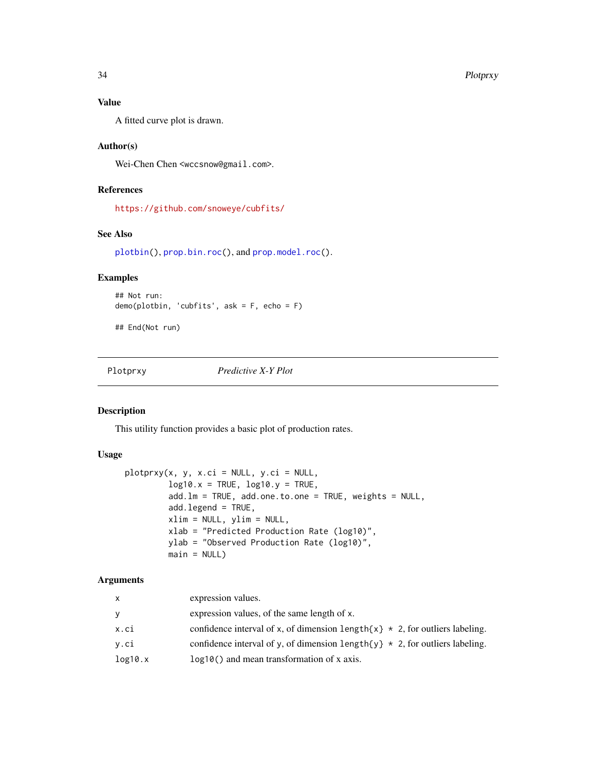#### Value

A fitted curve plot is drawn.

#### Author(s)

Wei-Chen Chen <wccsnow@gmail.com>.

#### References

<https://github.com/snoweye/cubfits/>

#### See Also

[plotbin\(](#page-30-1)), [prop.bin.roc\(](#page-30-1)), and [prop.model.roc\(](#page-32-1)).

#### Examples

```
## Not run:
demo(plotbin, 'cubfits', ask = F, echo = F)
```
## End(Not run)

Plotprxy *Predictive X-Y Plot*

#### Description

This utility function provides a basic plot of production rates.

#### Usage

```
plotprxy(x, y, x.ci = NULL, y.ci = NULL,
         log10.x = TRUE, log10.y = TRUE,add.lm = TRUE, add.one.to.one = TRUE, weights = NULL,
         add.legend = TRUE,
        xlim = NULL, ylim = NULL,
         xlab = "Predicted Production Rate (log10)",
        ylab = "Observed Production Rate (log10)",
        main = NULL
```
#### Arguments

| X       | expression values.                                                                     |
|---------|----------------------------------------------------------------------------------------|
| У       | expression values, of the same length of x.                                            |
| x.ci    | confidence interval of x, of dimension length $\{x\}$ * 2, for outliers labeling.      |
| y.ci    | confidence interval of y, of dimension length $\{y\} \star 2$ , for outliers labeling. |
| log10.x | $log10()$ and mean transformation of x axis.                                           |

<span id="page-33-0"></span>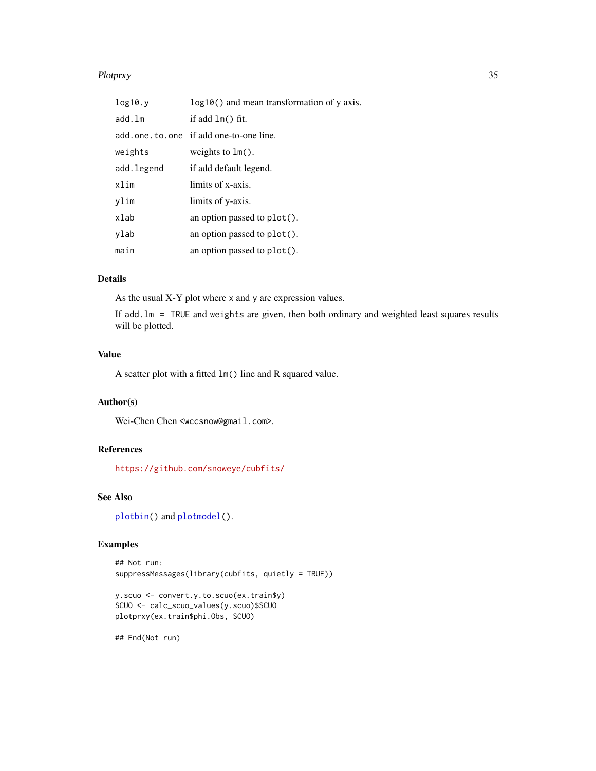#### <span id="page-34-0"></span>Plotprxy 35

| log10.y    | log10() and mean transformation of y axis. |
|------------|--------------------------------------------|
| add.lm     | if add $lm()$ fit.                         |
|            | add.one.to.one if add one-to-one line.     |
| weights    | weights to $lm()$ .                        |
| add.legend | if add default legend.                     |
| xlim       | limits of x-axis.                          |
| vlim       | limits of y-axis.                          |
| xlab       | an option passed to $plot()$ .             |
| vlab       | an option passed to plot().                |
| main       | an option passed to plot().                |

#### Details

As the usual X-Y plot where x and y are expression values.

If add.lm = TRUE and weights are given, then both ordinary and weighted least squares results will be plotted.

#### Value

A scatter plot with a fitted lm() line and R squared value.

#### Author(s)

Wei-Chen Chen <wccsnow@gmail.com>.

#### References

<https://github.com/snoweye/cubfits/>

#### See Also

[plotbin\(](#page-30-1)) and [plotmodel\(](#page-32-1)).

#### Examples

```
## Not run:
suppressMessages(library(cubfits, quietly = TRUE))
```

```
y.scuo <- convert.y.to.scuo(ex.train$y)
SCUO <- calc_scuo_values(y.scuo)$SCUO
plotprxy(ex.train$phi.Obs, SCUO)
```
## End(Not run)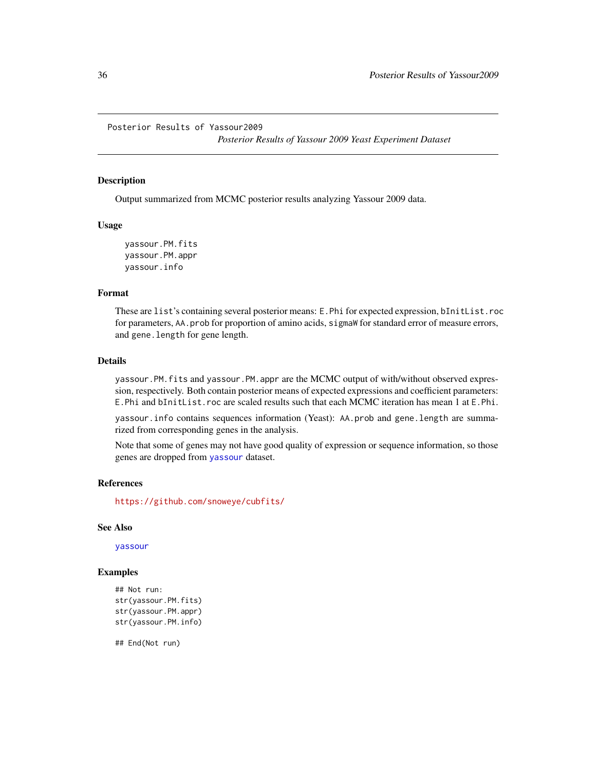<span id="page-35-0"></span>Posterior Results of Yassour2009

*Posterior Results of Yassour 2009 Yeast Experiment Dataset*

#### Description

Output summarized from MCMC posterior results analyzing Yassour 2009 data.

#### Usage

yassour.PM.fits yassour.PM.appr yassour.info

#### Format

These are list's containing several posterior means: E.Phi for expected expression, bInitList.roc for parameters, AA.prob for proportion of amino acids, sigmaW for standard error of measure errors, and gene.length for gene length.

#### Details

yassour.PM.fits and yassour.PM.appr are the MCMC output of with/without observed expression, respectively. Both contain posterior means of expected expressions and coefficient parameters: E.Phi and bInitList.roc are scaled results such that each MCMC iteration has mean 1 at E.Phi.

yassour.info contains sequences information (Yeast): AA.prob and gene.length are summarized from corresponding genes in the analysis.

Note that some of genes may not have good quality of expression or sequence information, so those genes are dropped from [yassour](#page-43-1) dataset.

#### References

<https://github.com/snoweye/cubfits/>

#### See Also

[yassour](#page-43-1)

#### Examples

```
## Not run:
str(yassour.PM.fits)
str(yassour.PM.appr)
str(yassour.PM.info)
```
## End(Not run)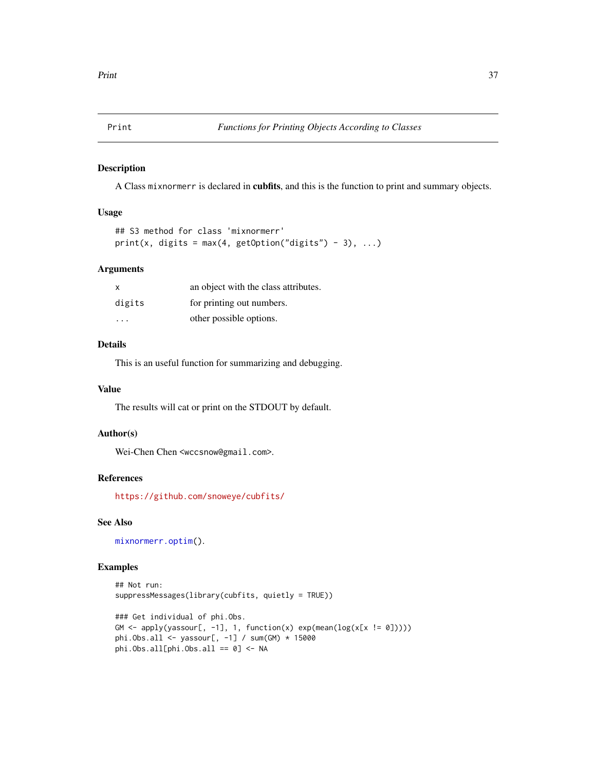<span id="page-36-0"></span>

#### <span id="page-36-1"></span>Description

A Class mixnormerr is declared in cubfits, and this is the function to print and summary objects.

#### Usage

```
## S3 method for class 'mixnormerr'
print(x, digits = max(4, getOption("digits") - 3), ...)
```
#### Arguments

| $\mathsf{x}$ | an object with the class attributes. |
|--------------|--------------------------------------|
| digits       | for printing out numbers.            |
| .            | other possible options.              |

#### Details

This is an useful function for summarizing and debugging.

#### Value

The results will cat or print on the STDOUT by default.

#### Author(s)

Wei-Chen Chen <wccsnow@gmail.com>.

#### References

<https://github.com/snoweye/cubfits/>

#### See Also

[mixnormerr.optim\(](#page-29-1)).

#### Examples

```
## Not run:
suppressMessages(library(cubfits, quietly = TRUE))
```

```
### Get individual of phi.Obs.
GM <- apply(yassour[, -1], 1, function(x) exp(mean(log(x[x != 0]))))phi.Obs.all <- yassour[, -1] / sum(GM) * 15000
phi.Obs.all[phi.Obs.all == 0] <- NA
```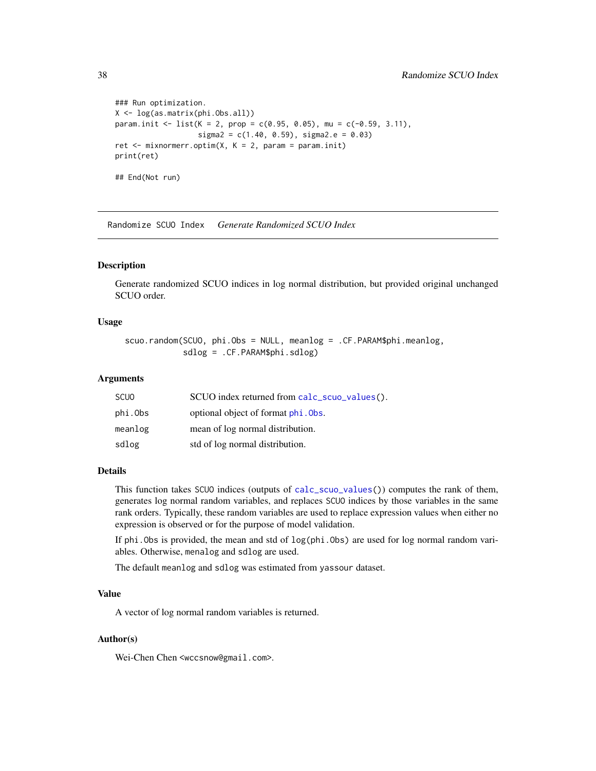```
### Run optimization.
X <- log(as.matrix(phi.Obs.all))
param.init <- list(K = 2, prop = c(0.95, 0.05), mu = c(-0.59, 3.11),
                   sigma2 = c(1.40, 0.59), sigma2.e = 0.03)
ret \leq mixnormerr.optim(X, K = 2, param = param.init)
print(ret)
## End(Not run)
```
Randomize SCUO Index *Generate Randomized SCUO Index*

#### <span id="page-37-1"></span>Description

Generate randomized SCUO indices in log normal distribution, but provided original unchanged SCUO order.

#### Usage

scuo.random(SCUO, phi.Obs = NULL, meanlog = .CF.PARAM\$phi.meanlog, sdlog = .CF.PARAM\$phi.sdlog)

#### Arguments

| <b>SCUO</b> | SCUO index returned from calc_scuo_values(). |
|-------------|----------------------------------------------|
| phi.Obs     | optional object of format phi. Obs.          |
| meanlog     | mean of log normal distribution.             |
| sdlog       | std of log normal distribution.              |

#### Details

This function takes SCUO indices (outputs of [calc\\_scuo\\_values\(](#page-39-1))) computes the rank of them, generates log normal random variables, and replaces SCUO indices by those variables in the same rank orders. Typically, these random variables are used to replace expression values when either no expression is observed or for the purpose of model validation.

If phi.Obs is provided, the mean and std of log(phi.Obs) are used for log normal random variables. Otherwise, menalog and sdlog are used.

The default meanlog and sdlog was estimated from yassour dataset.

#### Value

A vector of log normal random variables is returned.

#### Author(s)

Wei-Chen Chen <wccsnow@gmail.com>.

<span id="page-37-0"></span>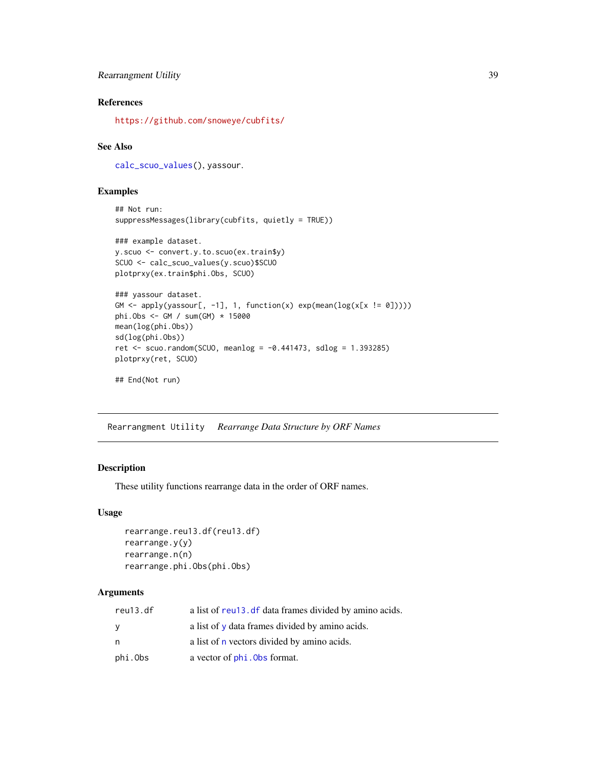#### <span id="page-38-0"></span>Rearrangment Utility 39

#### References

<https://github.com/snoweye/cubfits/>

#### See Also

[calc\\_scuo\\_values\(](#page-39-1)), yassour.

#### Examples

```
## Not run:
suppressMessages(library(cubfits, quietly = TRUE))
```

```
### example dataset.
y.scuo <- convert.y.to.scuo(ex.train$y)
SCUO <- calc_scuo_values(y.scuo)$SCUO
plotprxy(ex.train$phi.Obs, SCUO)
```

```
### yassour dataset.
GM \leftarrow apply(yassour[, -1], 1, function(x) exp(mean(log(x[x != 0]))))
phi.Obs <- GM / sum(GM) * 15000
mean(log(phi.Obs))
sd(log(phi.Obs))
ret <- scuo.random(SCUO, meanlog = -0.441473, sdlog = 1.393285)
plotprxy(ret, SCUO)
```

```
## End(Not run)
```
Rearrangment Utility *Rearrange Data Structure by ORF Names*

#### <span id="page-38-1"></span>Description

These utility functions rearrange data in the order of ORF names.

#### Usage

```
rearrange.reu13.df(reu13.df)
rearrange.y(y)
rearrange.n(n)
rearrange.phi.Obs(phi.Obs)
```
#### Arguments

| reu13.df | a list of reu <sub>13</sub> . df data frames divided by amino acids. |
|----------|----------------------------------------------------------------------|
| У        | a list of y data frames divided by amino acids.                      |
| n        | a list of <b>n</b> vectors divided by amino acids.                   |
| phi.Obs  | a vector of <b>phi</b> . Obs format.                                 |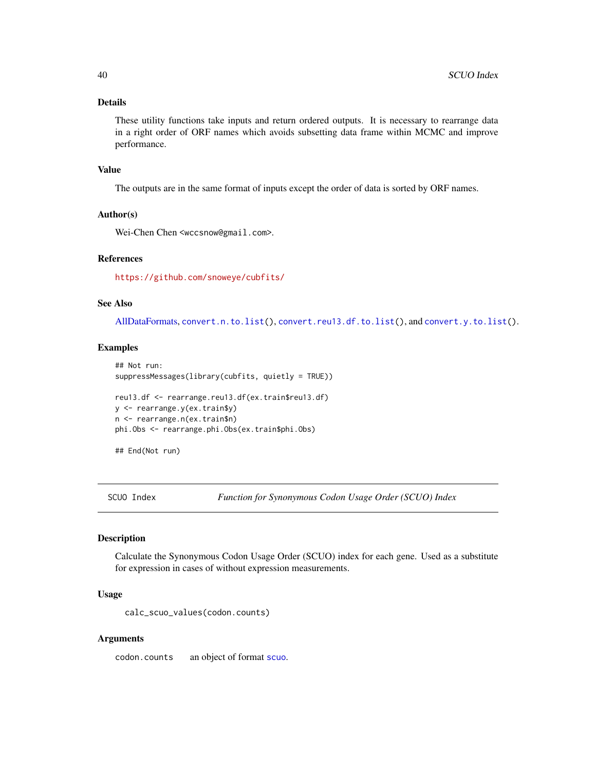#### <span id="page-39-0"></span>Details

These utility functions take inputs and return ordered outputs. It is necessary to rearrange data in a right order of ORF names which avoids subsetting data frame within MCMC and improve performance.

#### Value

The outputs are in the same format of inputs except the order of data is sorted by ORF names.

#### Author(s)

Wei-Chen Chen <wccsnow@gmail.com>.

#### References

<https://github.com/snoweye/cubfits/>

#### See Also

[AllDataFormats,](#page-17-1) [convert.n.to.list\(](#page-9-1)), [convert.reu13.df.to.list\(](#page-9-1)), and [convert.y.to.list\(](#page-9-1)).

#### Examples

```
## Not run:
suppressMessages(library(cubfits, quietly = TRUE))
reu13.df <- rearrange.reu13.df(ex.train$reu13.df)
y <- rearrange.y(ex.train$y)
n <- rearrange.n(ex.train$n)
phi.Obs <- rearrange.phi.Obs(ex.train$phi.Obs)
```
## End(Not run)

SCUO Index *Function for Synonymous Codon Usage Order (SCUO) Index*

#### <span id="page-39-1"></span>Description

Calculate the Synonymous Codon Usage Order (SCUO) index for each gene. Used as a substitute for expression in cases of without expression measurements.

#### Usage

calc\_scuo\_values(codon.counts)

#### Arguments

codon.counts an object of format [scuo](#page-17-1).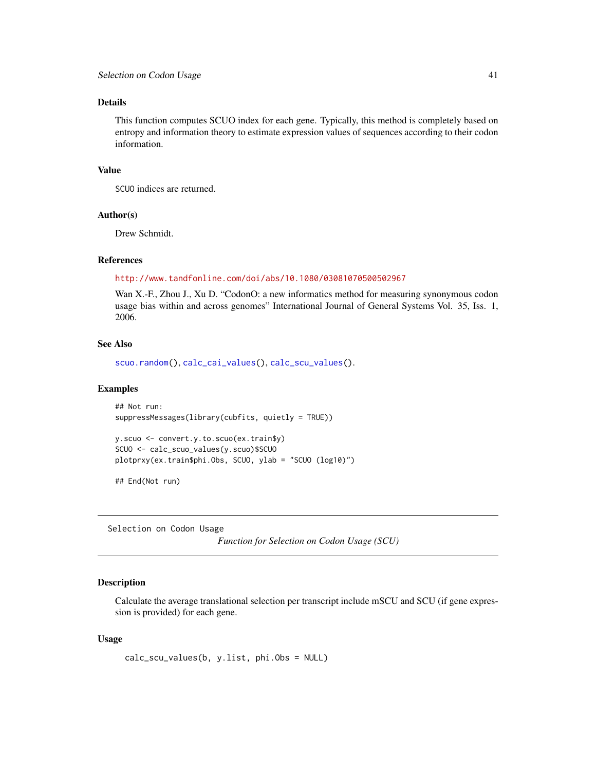#### <span id="page-40-0"></span>Details

This function computes SCUO index for each gene. Typically, this method is completely based on entropy and information theory to estimate expression values of sequences according to their codon information.

#### Value

SCUO indices are returned.

#### Author(s)

Drew Schmidt.

#### References

#### <http://www.tandfonline.com/doi/abs/10.1080/03081070500502967>

Wan X.-F., Zhou J., Xu D. "CodonO: a new informatics method for measuring synonymous codon usage bias within and across genomes" International Journal of General Systems Vol. 35, Iss. 1, 2006.

#### See Also

[scuo.random\(](#page-37-1)), [calc\\_cai\\_values\(](#page-4-1)), [calc\\_scu\\_values\(](#page-40-1)).

#### Examples

```
## Not run:
suppressMessages(library(cubfits, quietly = TRUE))
```

```
y.scuo <- convert.y.to.scuo(ex.train$y)
SCUO <- calc_scuo_values(y.scuo)$SCUO
plotprxy(ex.train$phi.Obs, SCUO, ylab = "SCUO (log10)")
```
## End(Not run)

Selection on Codon Usage

*Function for Selection on Codon Usage (SCU)*

#### <span id="page-40-1"></span>Description

Calculate the average translational selection per transcript include mSCU and SCU (if gene expression is provided) for each gene.

#### Usage

```
calc_scu_values(b, y.list, phi.Obs = NULL)
```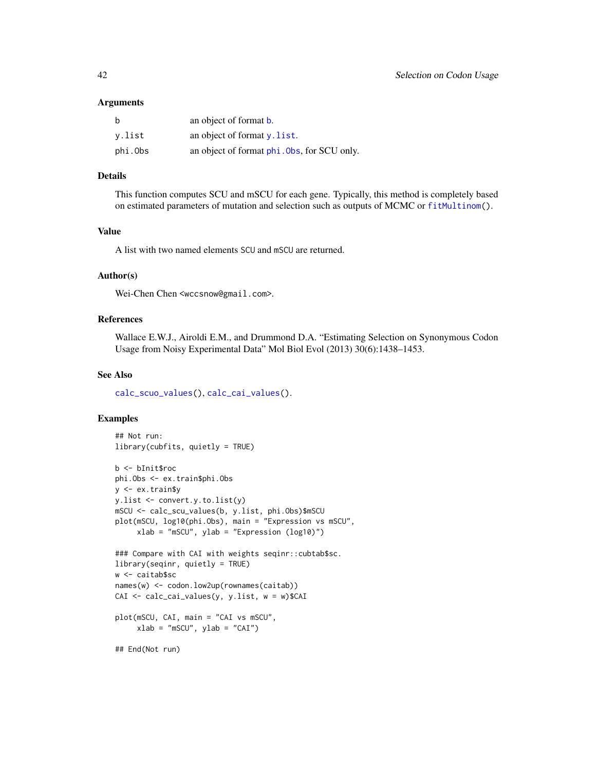#### <span id="page-41-0"></span>Arguments

| b       | an object of format <b>b</b> .              |
|---------|---------------------------------------------|
| v.list  | an object of format $v$ . list.             |
| phi.Obs | an object of format phi. Obs, for SCU only. |

#### Details

This function computes SCU and mSCU for each gene. Typically, this method is completely based on estimated parameters of mutation and selection such as outputs of MCMC or [fitMultinom\(](#page-22-1)).

#### Value

A list with two named elements SCU and mSCU are returned.

#### Author(s)

Wei-Chen Chen <wccsnow@gmail.com>.

#### References

Wallace E.W.J., Airoldi E.M., and Drummond D.A. "Estimating Selection on Synonymous Codon Usage from Noisy Experimental Data" Mol Biol Evol (2013) 30(6):1438–1453.

#### See Also

[calc\\_scuo\\_values\(](#page-39-1)), [calc\\_cai\\_values\(](#page-4-1)).

#### Examples

```
## Not run:
library(cubfits, quietly = TRUE)
b <- bInit$roc
phi.Obs <- ex.train$phi.Obs
y <- ex.train$y
y.list <- convert.y.to.list(y)
mSCU <- calc_scu_values(b, y.list, phi.Obs)$mSCU
plot(mSCU, log10(phi.Obs), main = "Expression vs mSCU",
     xlab = "mSCU", ylab = "Expression (log10)")
### Compare with CAI with weights seqinr::cubtab$sc.
library(seqinr, quietly = TRUE)
w <- caitab$sc
names(w) <- codon.low2up(rownames(caitab))
CAI <- calc_cai_values(y, y.list, w = w)$CAI
plot(mSCU, CAI, main = "CAI vs mSCU",
     xlab = "mSCU", ylab = "CAI")## End(Not run)
```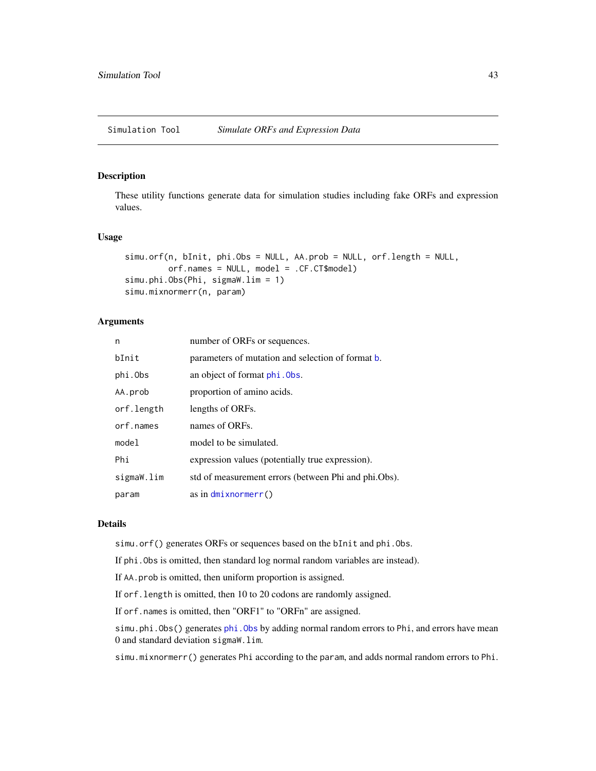<span id="page-42-0"></span>Simulation Tool *Simulate ORFs and Expression Data*

#### <span id="page-42-1"></span>Description

These utility functions generate data for simulation studies including fake ORFs and expression values.

#### Usage

```
simu.orf(n, bInit, phi.Obs = NULL, AA.prob = NULL, orf.length = NULL,
         orf.names = NULL, model = .CF.CT$model)
simu.phi.Obs(Phi, sigmaW.lim = 1)
simu.mixnormerr(n, param)
```
#### Arguments

| n          | number of ORFs or sequences.                         |
|------------|------------------------------------------------------|
| bInit      | parameters of mutation and selection of format b.    |
| phi.Obs    | an object of format phi. Obs.                        |
| AA.prob    | proportion of amino acids.                           |
| orf.length | lengths of ORFs.                                     |
| orf.names  | names of ORFs.                                       |
| model      | model to be simulated.                               |
| Phi        | expression values (potentially true expression).     |
| sigmaW.lim | std of measurement errors (between Phi and phi.Obs). |
| param      | as in $dmixnormerr()$                                |

#### Details

simu.orf() generates ORFs or sequences based on the bInit and phi.Obs.

If phi.Obs is omitted, then standard log normal random variables are instead).

If AA.prob is omitted, then uniform proportion is assigned.

If orf.length is omitted, then 10 to 20 codons are randomly assigned.

If orf.names is omitted, then "ORF1" to "ORFn" are assigned.

simu.[phi.Obs](#page-17-1)() generates phi.Obs by adding normal random errors to Phi, and errors have mean 0 and standard deviation sigmaW.lim.

simu.mixnormerr() generates Phi according to the param, and adds normal random errors to Phi.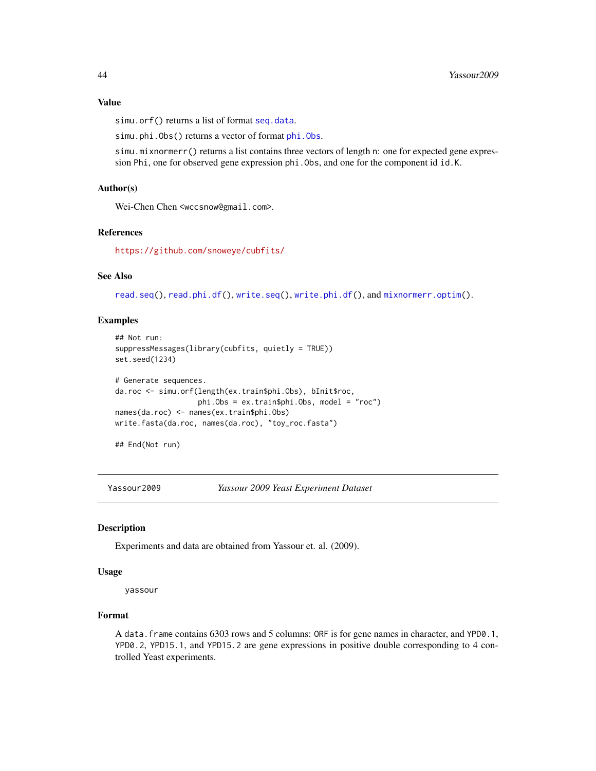#### <span id="page-43-0"></span>Value

simu.orf() returns a list of format [seq.data](#page-17-1).

simu.[phi.Obs](#page-17-1)() returns a vector of format phi.Obs.

simu.mixnormerr() returns a list contains three vectors of length n: one for expected gene expression Phi, one for observed gene expression phi.Obs, and one for the component id id.K.

#### Author(s)

Wei-Chen Chen <wccsnow@gmail.com>.

#### References

<https://github.com/snoweye/cubfits/>

#### See Also

[read.seq\(](#page-27-1)), [read.phi.df\(](#page-27-1)), [write.seq\(](#page-27-1)), [write.phi.df\(](#page-27-1)), and [mixnormerr.optim\(](#page-29-1)).

#### Examples

```
## Not run:
suppressMessages(library(cubfits, quietly = TRUE))
set.seed(1234)
# Generate sequences.
da.roc <- simu.orf(length(ex.train$phi.Obs), bInit$roc,
                  phi.Obs = ex.train$phi.Obs, model = "roc")
names(da.roc) <- names(ex.train$phi.Obs)
write.fasta(da.roc, names(da.roc), "toy_roc.fasta")
```

```
## End(Not run)
```
Yassour2009 *Yassour 2009 Yeast Experiment Dataset*

#### <span id="page-43-1"></span>Description

Experiments and data are obtained from Yassour et. al. (2009).

#### Usage

yassour

#### Format

A data.frame contains 6303 rows and 5 columns: ORF is for gene names in character, and YPD0.1, YPD0.2, YPD15.1, and YPD15.2 are gene expressions in positive double corresponding to 4 controlled Yeast experiments.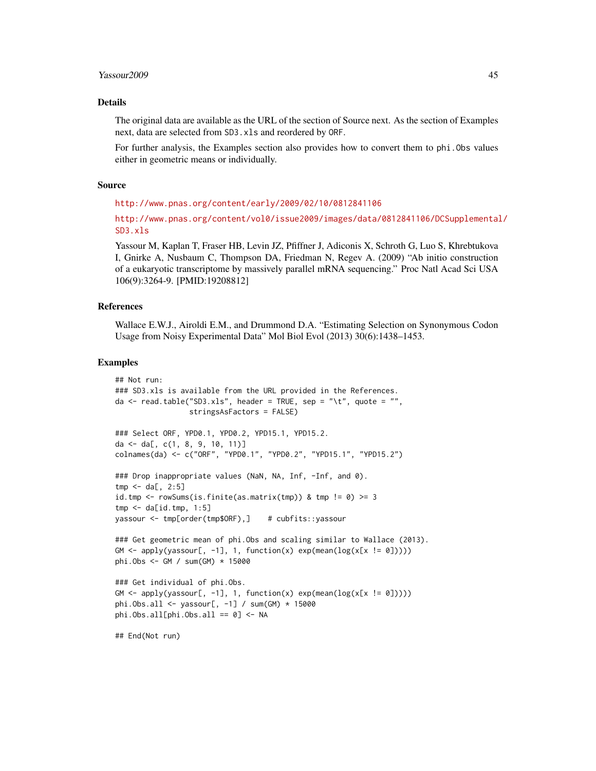#### Yassour2009 45

#### Details

The original data are available as the URL of the section of Source next. As the section of Examples next, data are selected from SD3.xls and reordered by ORF.

For further analysis, the Examples section also provides how to convert them to phi. Obs values either in geometric means or individually.

#### Source

<http://www.pnas.org/content/early/2009/02/10/0812841106>

[http://www.pnas.org/content/vol0/issue2009/images/data/0812841106/DCSupplemental](http://www.pnas.org/content/vol0/issue2009/images/data/0812841106/DCSupplemental/SD3.xls)/ [SD3.xls](http://www.pnas.org/content/vol0/issue2009/images/data/0812841106/DCSupplemental/SD3.xls)

Yassour M, Kaplan T, Fraser HB, Levin JZ, Pfiffner J, Adiconis X, Schroth G, Luo S, Khrebtukova I, Gnirke A, Nusbaum C, Thompson DA, Friedman N, Regev A. (2009) "Ab initio construction of a eukaryotic transcriptome by massively parallel mRNA sequencing." Proc Natl Acad Sci USA 106(9):3264-9. [PMID:19208812]

#### References

Wallace E.W.J., Airoldi E.M., and Drummond D.A. "Estimating Selection on Synonymous Codon Usage from Noisy Experimental Data" Mol Biol Evol (2013) 30(6):1438–1453.

#### Examples

```
## Not run:
### SD3.xls is available from the URL provided in the References.
da <- read.table("SD3.xls", header = TRUE, sep = "\t", quote = "",
                 stringsAsFactors = FALSE)
### Select ORF, YPD0.1, YPD0.2, YPD15.1, YPD15.2.
da <- da[, c(1, 8, 9, 10, 11)]
colnames(da) <- c("ORF", "YPD0.1", "YPD0.2", "YPD15.1", "YPD15.2")
### Drop inappropriate values (NaN, NA, Inf, -Inf, and 0).
tmp < - da[, 2:5]id.tmp <- rowSums(is.finite(as.matrix(tmp)) & tmp != 0) >= 3
tmp < - da[id.tmp, 1:5]
yassour <- tmp[order(tmp$ORF),] # cubfits::yassour
### Get geometric mean of phi.Obs and scaling similar to Wallace (2013).
GM <- apply(yassour[, -1], 1, function(x) exp(mean(log(x[x != 0]))))
phi.Obs <- GM / sum(GM) * 15000
### Get individual of phi.Obs.
GM \leftarrow apply(yassour[, -1], 1, function(x) exp(mean(log(x[x != 0]))))
phi.Obs.all <- yassour[, -1] / sum(GM) * 15000
phi.Obs.all[phi.Obs.all == 0] <- NA
## End(Not run)
```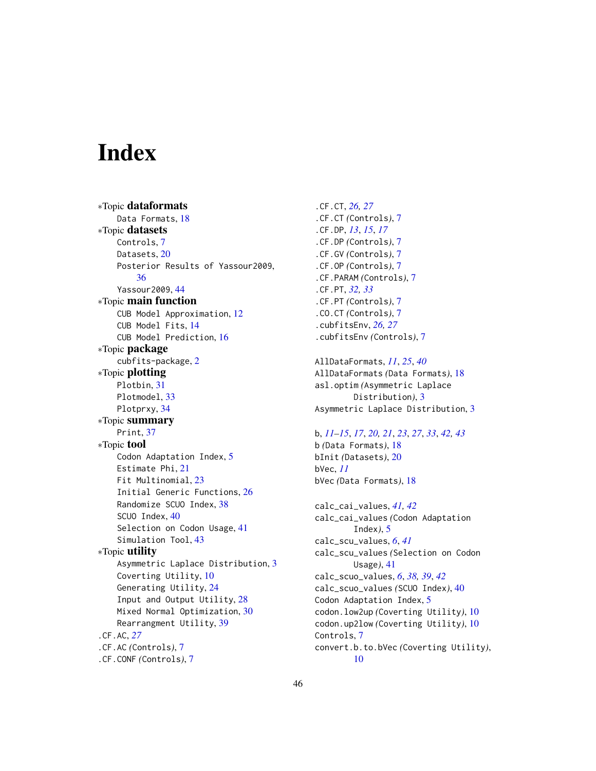# <span id="page-45-0"></span>**Index**

∗Topic dataformats Data Formats, [18](#page-17-0) ∗Topic datasets Controls, [7](#page-6-0) Datasets, [20](#page-19-0) Posterior Results of Yassour2009, [36](#page-35-0) Yassour2009, [44](#page-43-0) ∗Topic main function CUB Model Approximation, [12](#page-11-0) CUB Model Fits, [14](#page-13-0) CUB Model Prediction, [16](#page-15-0) ∗Topic package cubfits-package, [2](#page-1-0) ∗Topic plotting Plotbin, [31](#page-30-0) Plotmodel, [33](#page-32-0) Plotprxy, [34](#page-33-0) ∗Topic summary Print, [37](#page-36-0) ∗Topic tool Codon Adaptation Index, [5](#page-4-0) Estimate Phi, [21](#page-20-0) Fit Multinomial, [23](#page-22-0) Initial Generic Functions, [26](#page-25-0) Randomize SCUO Index, [38](#page-37-0) SCUO Index, [40](#page-39-0) Selection on Codon Usage, [41](#page-40-0) Simulation Tool, [43](#page-42-0) ∗Topic utility Asymmetric Laplace Distribution, [3](#page-2-0) Coverting Utility, [10](#page-9-0) Generating Utility, [24](#page-23-0) Input and Output Utility, [28](#page-27-0) Mixed Normal Optimization, [30](#page-29-0) Rearrangment Utility, [39](#page-38-0) .CF.AC, *[27](#page-26-0)* .CF.AC *(*Controls*)*, [7](#page-6-0) .CF.CONF *(*Controls*)*, [7](#page-6-0)

.CF.CT, *[26,](#page-25-0) [27](#page-26-0)* .CF.CT *(*Controls*)*, [7](#page-6-0) .CF.DP, *[13](#page-12-0)*, *[15](#page-14-0)*, *[17](#page-16-0)* .CF.DP *(*Controls*)*, [7](#page-6-0) .CF.GV *(*Controls*)*, [7](#page-6-0) .CF.OP *(*Controls*)*, [7](#page-6-0) .CF.PARAM *(*Controls*)*, [7](#page-6-0) .CF.PT, *[32,](#page-31-0) [33](#page-32-0)* .CF.PT *(*Controls*)*, [7](#page-6-0) .CO.CT *(*Controls*)*, [7](#page-6-0) .cubfitsEnv, *[26,](#page-25-0) [27](#page-26-0)* .cubfitsEnv *(*Controls*)*, [7](#page-6-0)

AllDataFormats, *[11](#page-10-0)*, *[25](#page-24-0)*, *[40](#page-39-0)* AllDataFormats *(*Data Formats*)*, [18](#page-17-0) asl.optim *(*Asymmetric Laplace Distribution*)*, [3](#page-2-0) Asymmetric Laplace Distribution, [3](#page-2-0)

### b, *[11–](#page-10-0)[15](#page-14-0)*, *[17](#page-16-0)*, *[20,](#page-19-0) [21](#page-20-0)*, *[23](#page-22-0)*, *[27](#page-26-0)*, *[33](#page-32-0)*, *[42,](#page-41-0) [43](#page-42-0)*

b *(*Data Formats*)*, [18](#page-17-0) bInit *(*Datasets*)*, [20](#page-19-0) bVec, *[11](#page-10-0)* bVec *(*Data Formats*)*, [18](#page-17-0)

calc\_cai\_values, *[41,](#page-40-0) [42](#page-41-0)* calc\_cai\_values *(*Codon Adaptation Index*)*, [5](#page-4-0) calc\_scu\_values, *[6](#page-5-0)*, *[41](#page-40-0)* calc\_scu\_values *(*Selection on Codon Usage*)*, [41](#page-40-0) calc\_scuo\_values, *[6](#page-5-0)*, *[38,](#page-37-0) [39](#page-38-0)*, *[42](#page-41-0)* calc\_scuo\_values *(*SCUO Index*)*, [40](#page-39-0) Codon Adaptation Index, [5](#page-4-0) codon.low2up *(*Coverting Utility*)*, [10](#page-9-0) codon.up2low *(*Coverting Utility*)*, [10](#page-9-0) Controls, [7](#page-6-0) convert.b.to.bVec *(*Coverting Utility*)*, [10](#page-9-0)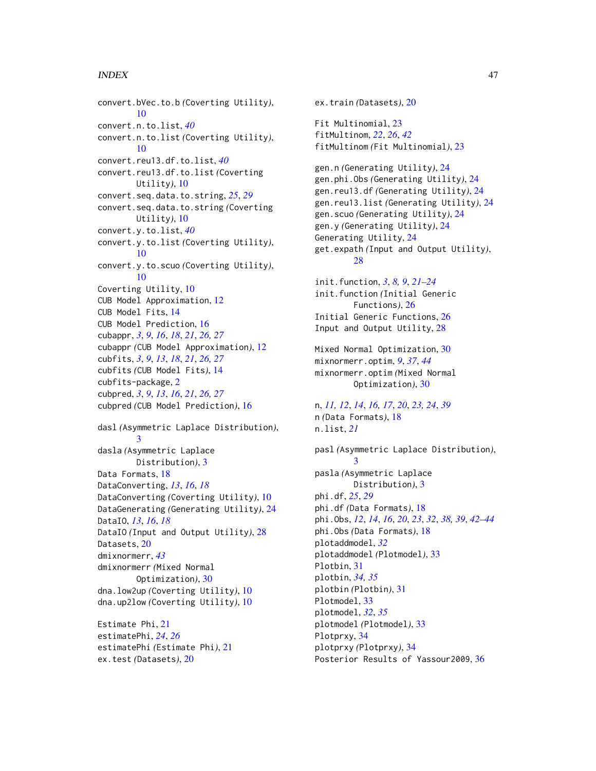#### INDEX 47

convert.bVec.to.b *(*Coverting Utility*)*, [10](#page-9-0) convert.n.to.list, *[40](#page-39-0)* convert.n.to.list *(*Coverting Utility*)*, [10](#page-9-0) convert.reu13.df.to.list, *[40](#page-39-0)* convert.reu13.df.to.list *(*Coverting Utility*)*, [10](#page-9-0) convert.seq.data.to.string, *[25](#page-24-0)*, *[29](#page-28-0)* convert.seq.data.to.string *(*Coverting Utility*)*, [10](#page-9-0) convert.y.to.list, *[40](#page-39-0)* convert.y.to.list *(*Coverting Utility*)*, [10](#page-9-0) convert.y.to.scuo *(*Coverting Utility*)*, [10](#page-9-0) Coverting Utility, [10](#page-9-0) CUB Model Approximation, [12](#page-11-0) CUB Model Fits, [14](#page-13-0) CUB Model Prediction, [16](#page-15-0) cubappr, *[3](#page-2-0)*, *[9](#page-8-0)*, *[16](#page-15-0)*, *[18](#page-17-0)*, *[21](#page-20-0)*, *[26,](#page-25-0) [27](#page-26-0)* cubappr *(*CUB Model Approximation*)*, [12](#page-11-0) cubfits, *[3](#page-2-0)*, *[9](#page-8-0)*, *[13](#page-12-0)*, *[18](#page-17-0)*, *[21](#page-20-0)*, *[26,](#page-25-0) [27](#page-26-0)* cubfits *(*CUB Model Fits*)*, [14](#page-13-0) cubfits-package, [2](#page-1-0) cubpred, *[3](#page-2-0)*, *[9](#page-8-0)*, *[13](#page-12-0)*, *[16](#page-15-0)*, *[21](#page-20-0)*, *[26,](#page-25-0) [27](#page-26-0)* cubpred *(*CUB Model Prediction*)*, [16](#page-15-0) dasl *(*Asymmetric Laplace Distribution*)*, [3](#page-2-0) dasla *(*Asymmetric Laplace Distribution*)*, [3](#page-2-0) Data Formats, [18](#page-17-0) DataConverting, *[13](#page-12-0)*, *[16](#page-15-0)*, *[18](#page-17-0)* DataConverting *(*Coverting Utility*)*, [10](#page-9-0) DataGenerating *(*Generating Utility*)*, [24](#page-23-0) DataIO, *[13](#page-12-0)*, *[16](#page-15-0)*, *[18](#page-17-0)* DataIO *(*Input and Output Utility*)*, [28](#page-27-0) Datasets, [20](#page-19-0) dmixnormerr, *[43](#page-42-0)* dmixnormerr *(*Mixed Normal Optimization*)*, [30](#page-29-0) dna.low2up *(*Coverting Utility*)*, [10](#page-9-0) dna.up2low *(*Coverting Utility*)*, [10](#page-9-0) Estimate Phi, [21](#page-20-0)

estimatePhi, *[24](#page-23-0)*, *[26](#page-25-0)* estimatePhi *(*Estimate Phi*)*, [21](#page-20-0) ex.test *(*Datasets*)*, [20](#page-19-0)

ex.train *(*Datasets*)*, [20](#page-19-0) Fit Multinomial, [23](#page-22-0) fitMultinom, *[22](#page-21-0)*, *[26](#page-25-0)*, *[42](#page-41-0)* fitMultinom *(*Fit Multinomial*)*, [23](#page-22-0) gen.n *(*Generating Utility*)*, [24](#page-23-0) gen.phi.Obs *(*Generating Utility*)*, [24](#page-23-0) gen.reu13.df *(*Generating Utility*)*, [24](#page-23-0) gen.reu13.list *(*Generating Utility*)*, [24](#page-23-0) gen.scuo *(*Generating Utility*)*, [24](#page-23-0) gen.y *(*Generating Utility*)*, [24](#page-23-0) Generating Utility, [24](#page-23-0) get.expath *(*Input and Output Utility*)*,  $28$ init.function, *[3](#page-2-0)*, *[8,](#page-7-0) [9](#page-8-0)*, *[21](#page-20-0)[–24](#page-23-0)* init.function *(*Initial Generic Functions*)*, [26](#page-25-0) Initial Generic Functions, [26](#page-25-0) Input and Output Utility, [28](#page-27-0) Mixed Normal Optimization, [30](#page-29-0) mixnormerr.optim, *[9](#page-8-0)*, *[37](#page-36-0)*, *[44](#page-43-0)* mixnormerr.optim *(*Mixed Normal Optimization*)*, [30](#page-29-0) n, *[11,](#page-10-0) [12](#page-11-0)*, *[14](#page-13-0)*, *[16,](#page-15-0) [17](#page-16-0)*, *[20](#page-19-0)*, *[23,](#page-22-0) [24](#page-23-0)*, *[39](#page-38-0)* n *(*Data Formats*)*, [18](#page-17-0) n.list, *[21](#page-20-0)* pasl *(*Asymmetric Laplace Distribution*)*, [3](#page-2-0) pasla *(*Asymmetric Laplace Distribution*)*, [3](#page-2-0) phi.df, *[25](#page-24-0)*, *[29](#page-28-0)* phi.df *(*Data Formats*)*, [18](#page-17-0) phi.Obs, *[12](#page-11-0)*, *[14](#page-13-0)*, *[16](#page-15-0)*, *[20](#page-19-0)*, *[23](#page-22-0)*, *[32](#page-31-0)*, *[38,](#page-37-0) [39](#page-38-0)*, *[42](#page-41-0)[–44](#page-43-0)* phi.Obs *(*Data Formats*)*, [18](#page-17-0) plotaddmodel, *[32](#page-31-0)* plotaddmodel *(*Plotmodel*)*, [33](#page-32-0) Plotbin, [31](#page-30-0) plotbin, *[34,](#page-33-0) [35](#page-34-0)* plotbin *(*Plotbin*)*, [31](#page-30-0) Plotmodel, [33](#page-32-0) plotmodel, *[32](#page-31-0)*, *[35](#page-34-0)* plotmodel *(*Plotmodel*)*, [33](#page-32-0) Plotprxy, [34](#page-33-0) plotprxy *(*Plotprxy*)*, [34](#page-33-0) Posterior Results of Yassour2009, [36](#page-35-0)